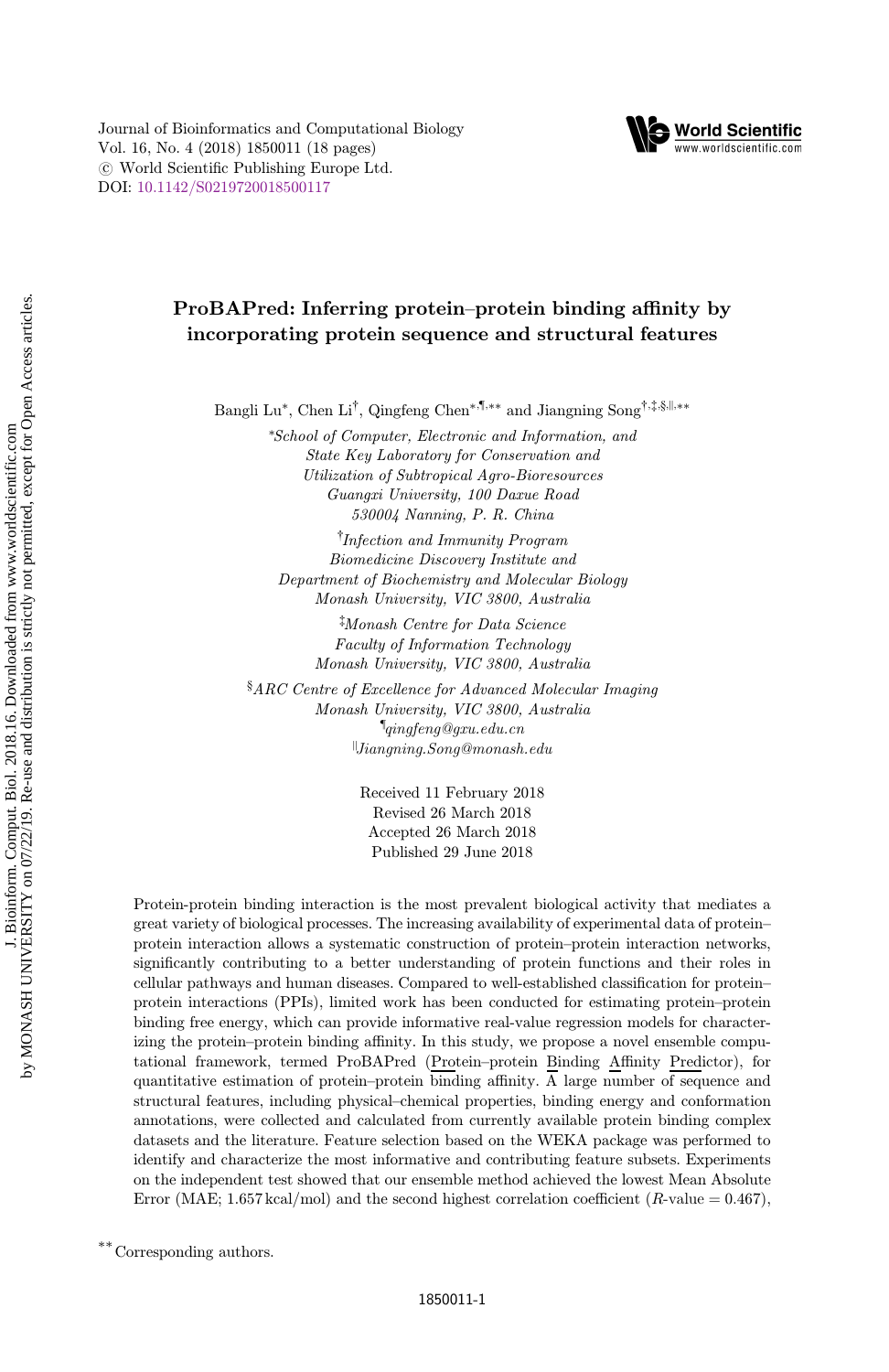Journal of Bioinformatics and Computational Biology Vol. 16, No. 4 (2018) 1850011 (18 pages)  $\circ$  World Scientific Publishing Europe Ltd. DOI: 10.1142/S0219720018500117



# ProBAPred: Inferring protein–protein binding affinity by incorporating protein sequence and structural features

Bangli Lu<sup>\*</sup>, Chen Li<sup>†</sup>, Qingfeng Chen<sup>\*,¶,\*\*</sup> and Jiangning Song<sup>†,‡,§,||,\*\*</sup>

\*School of Computer, Electronic and Information, and State Key Laboratory for Conservation and Utilization of Subtropical Agro-Bioresources Guangxi University, 100 Daxue Road 530004 Nanning, P. R. China

† Infection and Immunity Program Biomedicine Discovery Institute and Department of Biochemistry and Molecular Biology Monash University, VIC 3800, Australia

‡ Monash Centre for Data Science Faculty of Information Technology Monash University, VIC 3800, Australia

§ ARC Centre of Excellence for Advanced Molecular Imaging Monash University, VIC 3800, Australia  $\P_{qingfeng@gxu.edu.cn}$ ||Jiangning.Song@monash.edu

> Received 11 February 2018 Revised 26 March 2018 Accepted 26 March 2018 Published 29 June 2018

Protein-protein binding interaction is the most prevalent biological activity that mediates a great variety of biological processes. The increasing availability of experimental data of protein– protein interaction allows a systematic construction of protein–protein interaction networks, significantly contributing to a better understanding of protein functions and their roles in cellular pathways and human diseases. Compared to well-established classification for protein– protein interactions (PPIs), limited work has been conducted for estimating protein–protein binding free energy, which can provide informative real-value regression models for characterizing the protein–protein binding affinity. In this study, we propose a novel ensemble computational framework, termed ProBAPred (Protein–protein Binding Affinity Predictor), for quantitative estimation of protein–protein binding affinity.  $\overline{A}$  large number of sequence and structural features, including physical–chemical properties, binding energy and conformation annotations, were collected and calculated from currently available protein binding complex datasets and the literature. Feature selection based on the WEKA package was performed to identify and characterize the most informative and contributing feature subsets. Experiments on the independent test showed that our ensemble method achieved the lowest Mean Absolute Error (MAE; 1.657 kcal/mol) and the second highest correlation coefficient (R-value =  $0.467$ ),

\*\*Corresponding authors.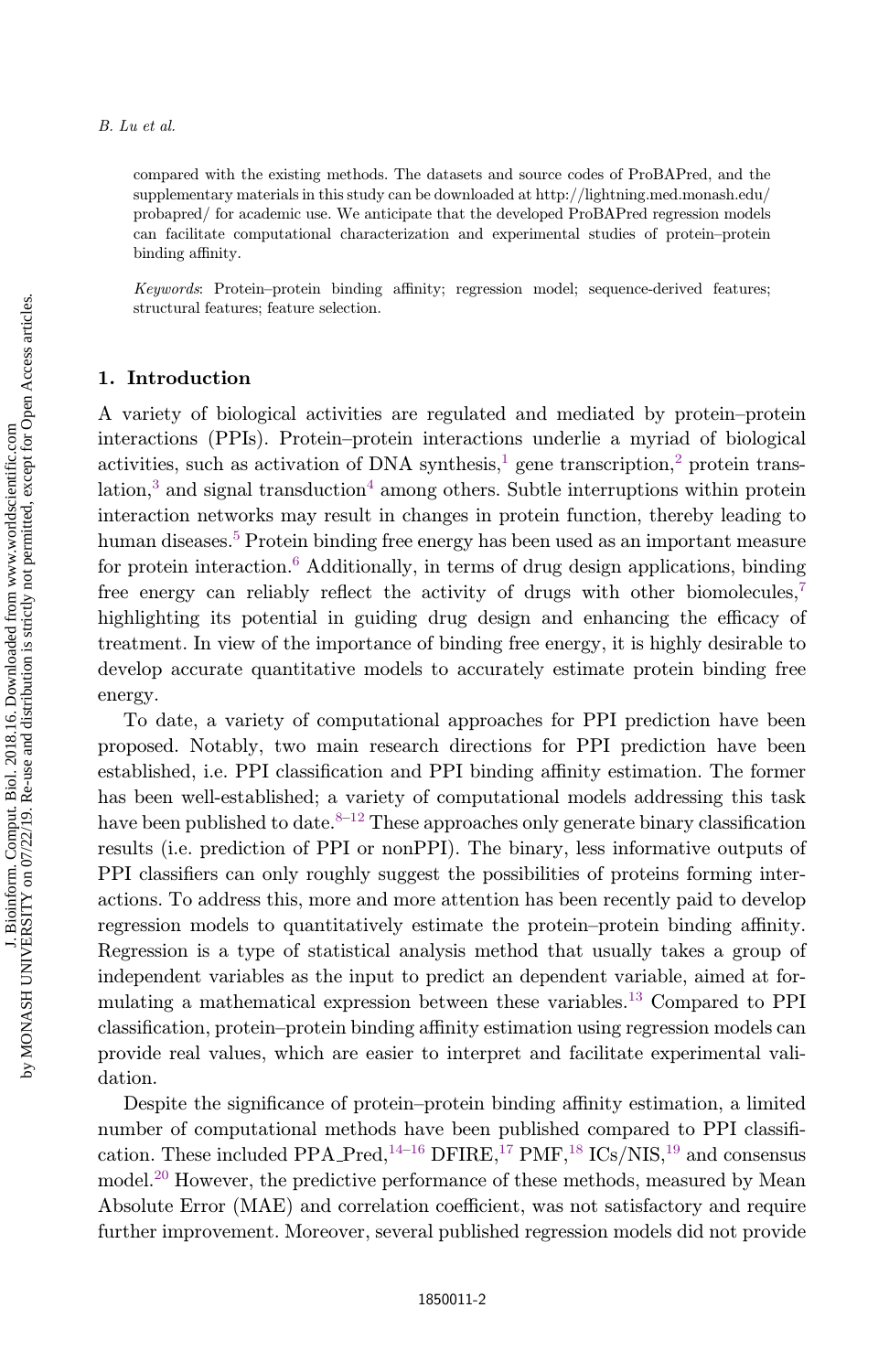#### B. Lu et al.

compared with the existing methods. The datasets and source codes of ProBAPred, and the supplementary materials in this study can be downloaded at http://lightning.med.monash.edu/ probapred/ for academic use. We anticipate that the developed ProBAPred regression models can facilitate computational characterization and experimental studies of protein–protein binding affinity.

Keywords: Protein–protein binding affinity; regression model; sequence-derived features; structural features; feature selection.

### 1. Introduction

A variety of biological activities are regulated and mediated by protein–protein interactions (PPIs). Protein–protein interactions underlie a myriad of biological activities, such as activation of DNA synthesis, $\frac{1}{2}$  gene transcription, $\frac{2}{7}$  protein trans $lational$  and signal transduction<sup>4</sup> among others. Subtle interruptions within protein interaction networks may result in changes in protein function, thereby leading to human diseases.<sup>5</sup> Protein binding free energy has been used as an important measure for protein interaction. $6$  Additionally, in terms of drug design applications, binding free energy can reliably reflect the activity of drugs with other biomolecules,<sup>7</sup> highlighting its potential in guiding drug design and enhancing the efficacy of treatment. In view of the importance of binding free energy, it is highly desirable to develop accurate quantitative models to accurately estimate protein binding free energy.

To date, a variety of computational approaches for PPI prediction have been proposed. Notably, two main research directions for PPI prediction have been established, i.e. PPI classification and PPI binding affinity estimation. The former has been well-established; a variety of computational models addressing this task have been published to date.<sup>8–12</sup> These approaches only generate binary classification results (i.e. prediction of PPI or nonPPI). The binary, less informative outputs of PPI classifiers can only roughly suggest the possibilities of proteins forming interactions. To address this, more and more attention has been recently paid to develop regression models to quantitatively estimate the protein–protein binding affinity. Regression is a type of statistical analysis method that usually takes a group of independent variables as the input to predict an dependent variable, aimed at formulating a mathematical expression between these variables.<sup>13</sup> Compared to PPI classification, protein–protein binding affinity estimation using regression models can provide real values, which are easier to interpret and facilitate experimental validation.

Despite the significance of protein–protein binding affinity estimation, a limited number of computational methods have been published compared to PPI classification. These included PPA Pred,  $^{14-16}$  DFIRE,  $^{17}$  PMF,  $^{18}$  ICs/NIS,  $^{19}$  and consensus model.<sup>20</sup> However, the predictive performance of these methods, measured by Mean Absolute Error (MAE) and correlation coefficient, was not satisfactory and require further improvement. Moreover, several published regression models did not provide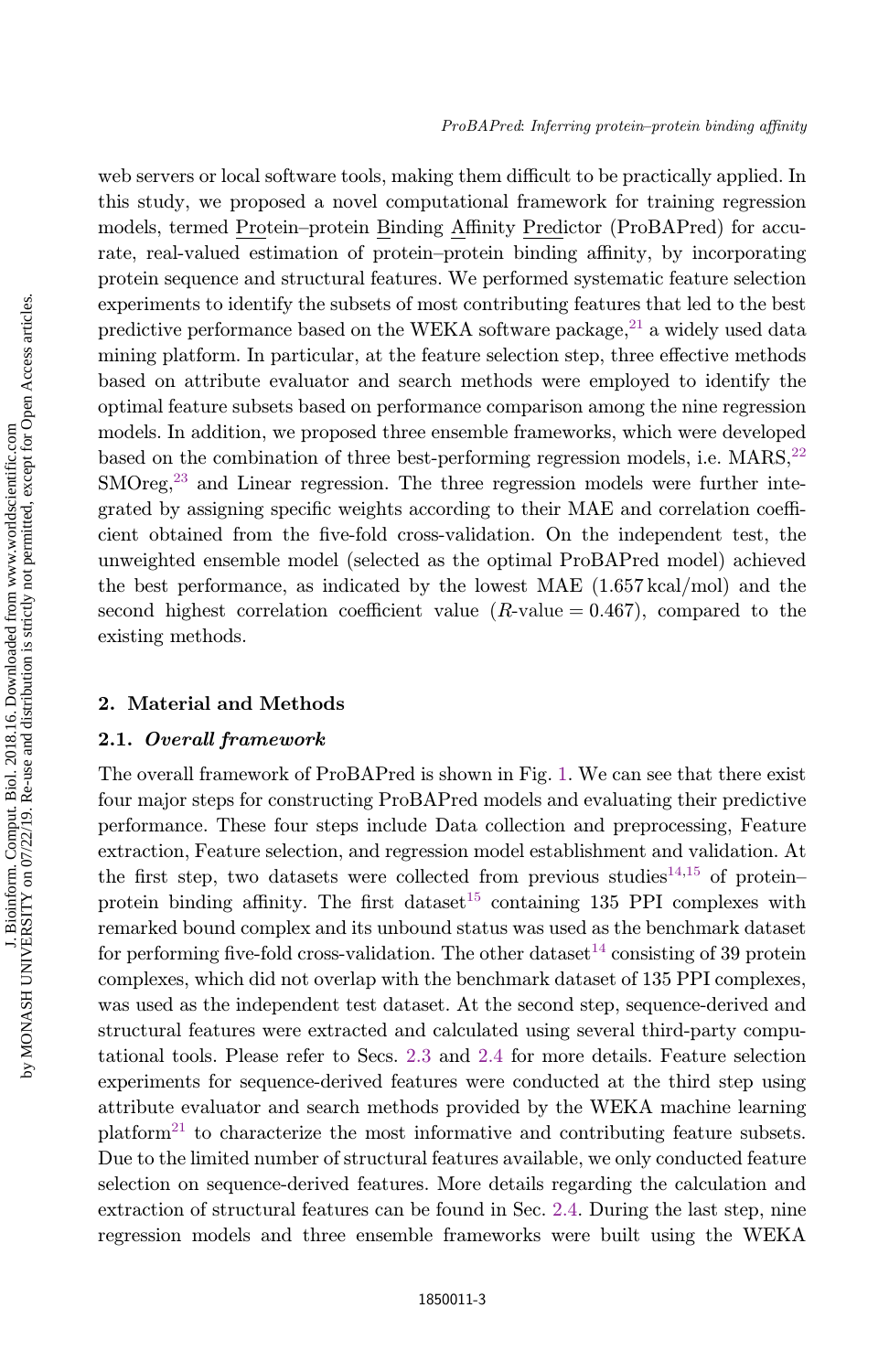web servers or local software tools, making them difficult to be practically applied. In this study, we proposed a novel computational framework for training regression models, termed Protein–protein Binding Affinity Predictor (ProBAPred) for accurate, real-valued estimation of protein–protein binding affinity, by incorporating protein sequence and structural features. We performed systematic feature selection experiments to identify the subsets of most contributing features that led to the best predictive performance based on the WEKA software package, $^{21}$  a widely used data mining platform. In particular, at the feature selection step, three effective methods based on attribute evaluator and search methods were employed to identify the optimal feature subsets based on performance comparison among the nine regression models. In addition, we proposed three ensemble frameworks, which were developed based on the combination of three best-performing regression models, i.e.  $MARS$ ,<sup>22</sup>  $\text{SMOreg}^{23}$  and Linear regression. The three regression models were further integrated by assigning specific weights according to their MAE and correlation coefficient obtained from the five-fold cross-validation. On the independent test, the unweighted ensemble model (selected as the optimal ProBAPred model) achieved the best performance, as indicated by the lowest MAE (1.657 kcal/mol) and the second highest correlation coefficient value  $(R$ -value  $= 0.467$ ), compared to the existing methods.

### 2. Material and Methods

## 2.1. Overall framework

The overall framework of ProBAPred is shown in Fig. 1. We can see that there exist four major steps for constructing ProBAPred models and evaluating their predictive performance. These four steps include Data collection and preprocessing, Feature extraction, Feature selection, and regression model establishment and validation. At the first step, two datasets were collected from previous studies<sup>14,15</sup> of protein– protein binding affinity. The first dataset<sup>15</sup> containing 135 PPI complexes with remarked bound complex and its unbound status was used as the benchmark dataset for performing five-fold cross-validation. The other dataset<sup>14</sup> consisting of 39 protein complexes, which did not overlap with the benchmark dataset of 135 PPI complexes, was used as the independent test dataset. At the second step, sequence-derived and structural features were extracted and calculated using several third-party computational tools. Please refer to Secs. 2.3 and 2.4 for more details. Feature selection experiments for sequence-derived features were conducted at the third step using attribute evaluator and search methods provided by the WEKA machine learning  $\text{platform}^{21}$  to characterize the most informative and contributing feature subsets. Due to the limited number of structural features available, we only conducted feature selection on sequence-derived features. More details regarding the calculation and extraction of structural features can be found in Sec. 2.4. During the last step, nine regression models and three ensemble frameworks were built using the WEKA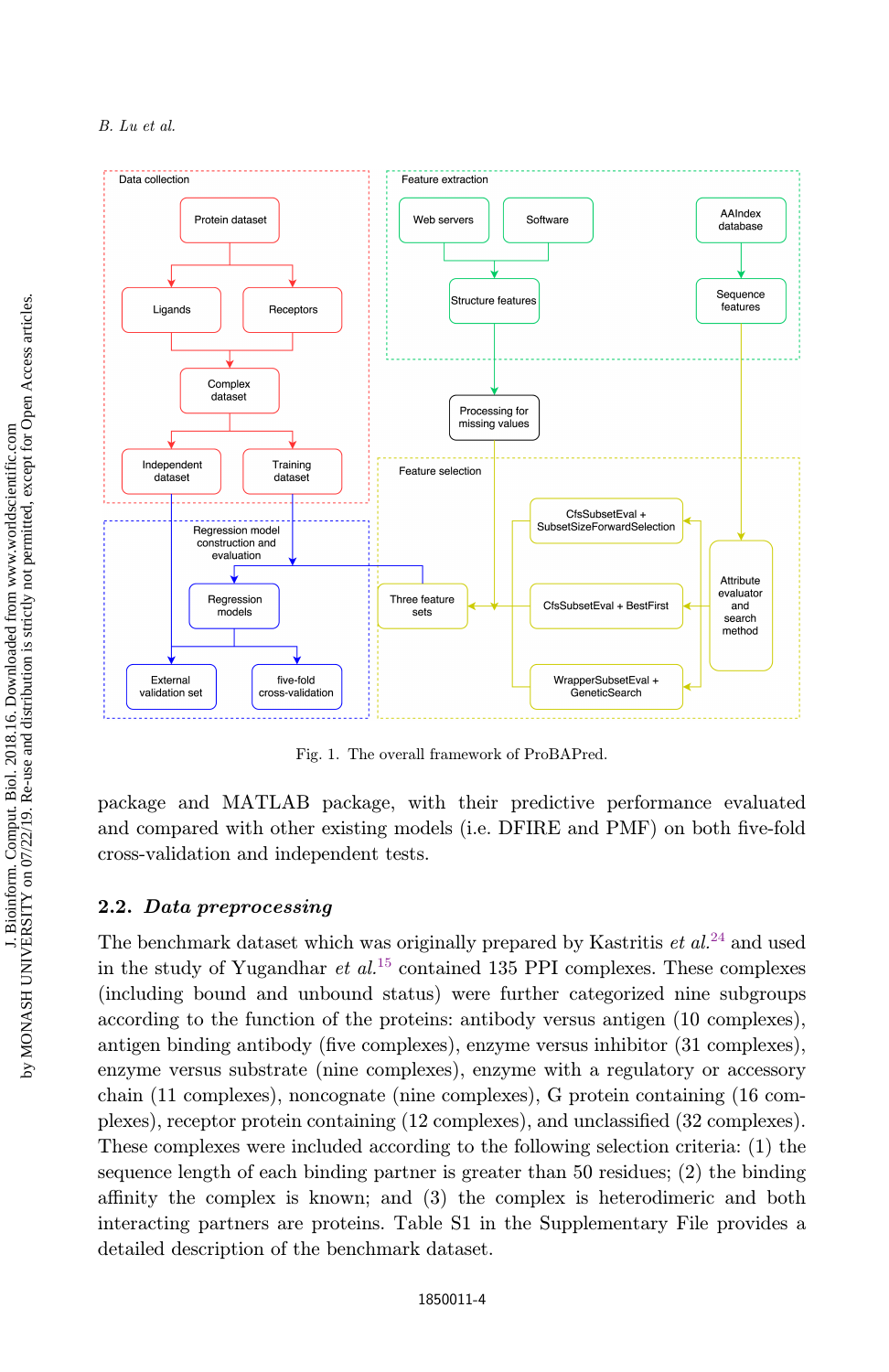

Fig. 1. The overall framework of ProBAPred.

package and MATLAB package, with their predictive performance evaluated and compared with other existing models (i.e. DFIRE and PMF) on both five-fold cross-validation and independent tests.

## 2.2. Data preprocessing

The benchmark dataset which was originally prepared by Kastritis  $et al.<sup>24</sup>$  and used in the study of Yugandhar *et al.*<sup>15</sup> contained 135 PPI complexes. These complexes (including bound and unbound status) were further categorized nine subgroups according to the function of the proteins: antibody versus antigen (10 complexes), antigen binding antibody (five complexes), enzyme versus inhibitor  $(31 \text{ complexes})$ , enzyme versus substrate (nine complexes), enzyme with a regulatory or accessory chain (11 complexes), noncognate (nine complexes), G protein containing (16 complexes), receptor protein containing (12 complexes), and unclassified (32 complexes). These complexes were included according to the following selection criteria: (1) the sequence length of each binding partner is greater than 50 residues; (2) the binding affinity the complex is known; and  $(3)$  the complex is heterodimeric and both interacting partners are proteins. Table S1 in the Supplementary File provides a detailed description of the benchmark dataset.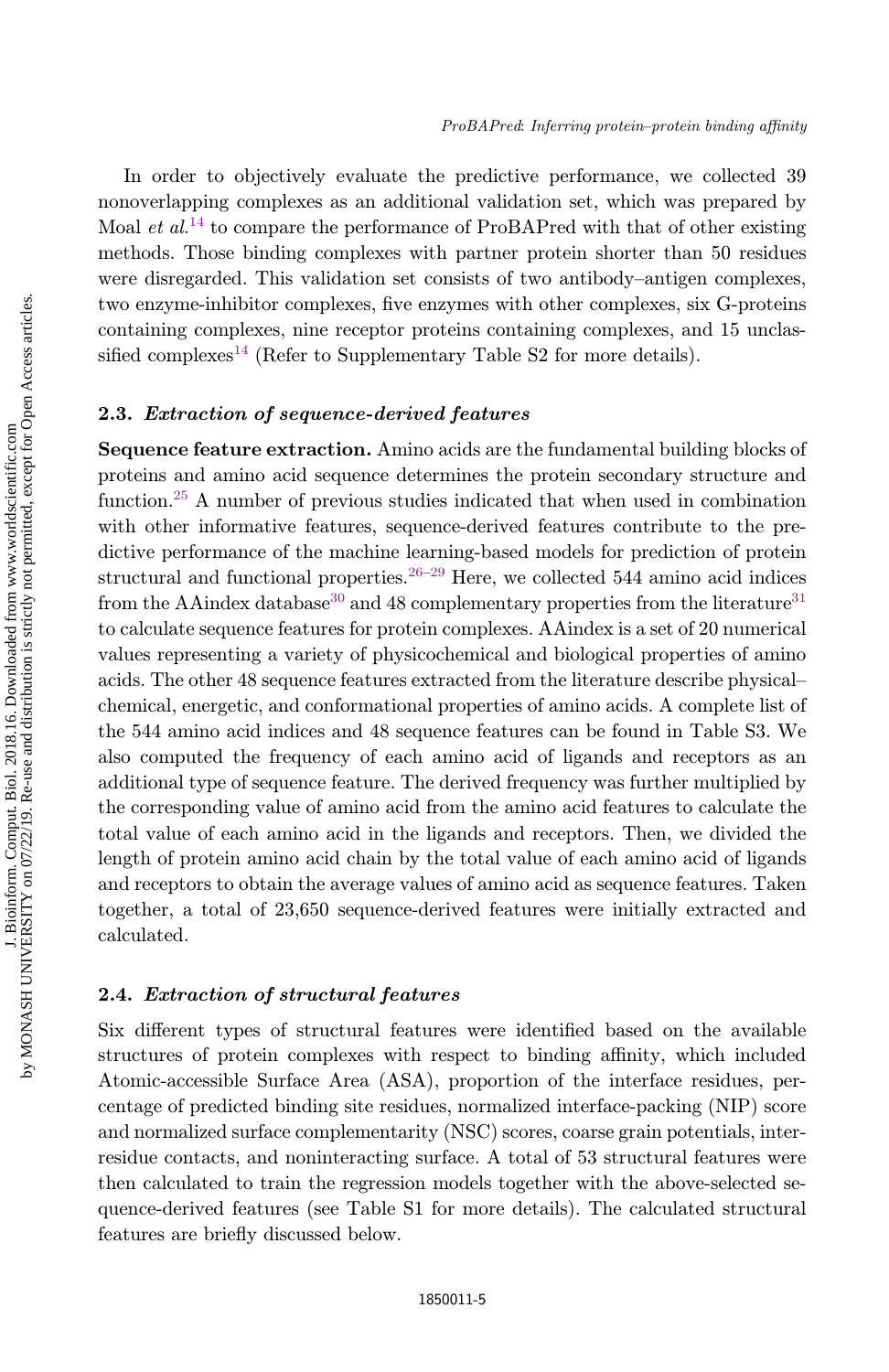In order to objectively evaluate the predictive performance, we collected 39 nonoverlapping complexes as an additional validation set, which was prepared by Moal *et al.*<sup>14</sup> to compare the performance of ProBAPred with that of other existing methods. Those binding complexes with partner protein shorter than 50 residues were disregarded. This validation set consists of two antibody–antigen complexes, two enzyme-inhibitor complexes, five enzymes with other complexes, six G-proteins containing complexes, nine receptor proteins containing complexes, and 15 unclassified complexes<sup>14</sup> (Refer to Supplementary Table S2 for more details).

## 2.3. Extraction of sequence-derived features

Sequence feature extraction. Amino acids are the fundamental building blocks of proteins and amino acid sequence determines the protein secondary structure and function.<sup>25</sup> A number of previous studies indicated that when used in combination with other informative features, sequence-derived features contribute to the predictive performance of the machine learning-based models for prediction of protein structural and functional properties.  $26-29$  Here, we collected 544 amino acid indices from the AAindex database<sup>30</sup> and 48 complementary properties from the literature<sup>31</sup> to calculate sequence features for protein complexes. AAindex is a set of 20 numerical values representing a variety of physicochemical and biological properties of amino acids. The other 48 sequence features extracted from the literature describe physical– chemical, energetic, and conformational properties of amino acids. A complete list of the 544 amino acid indices and 48 sequence features can be found in Table S3. We also computed the frequency of each amino acid of ligands and receptors as an additional type of sequence feature. The derived frequency was further multiplied by the corresponding value of amino acid from the amino acid features to calculate the total value of each amino acid in the ligands and receptors. Then, we divided the length of protein amino acid chain by the total value of each amino acid of ligands and receptors to obtain the average values of amino acid as sequence features. Taken together, a total of 23,650 sequence-derived features were initially extracted and calculated.

### 2.4. Extraction of structural features

Six different types of structural features were identified based on the available structures of protein complexes with respect to binding affinity, which included Atomic-accessible Surface Area (ASA), proportion of the interface residues, percentage of predicted binding site residues, normalized interface-packing (NIP) score and normalized surface complementarity (NSC) scores, coarse grain potentials, interresidue contacts, and noninteracting surface. A total of 53 structural features were then calculated to train the regression models together with the above-selected sequence-derived features (see Table S1 for more details). The calculated structural features are briefly discussed below.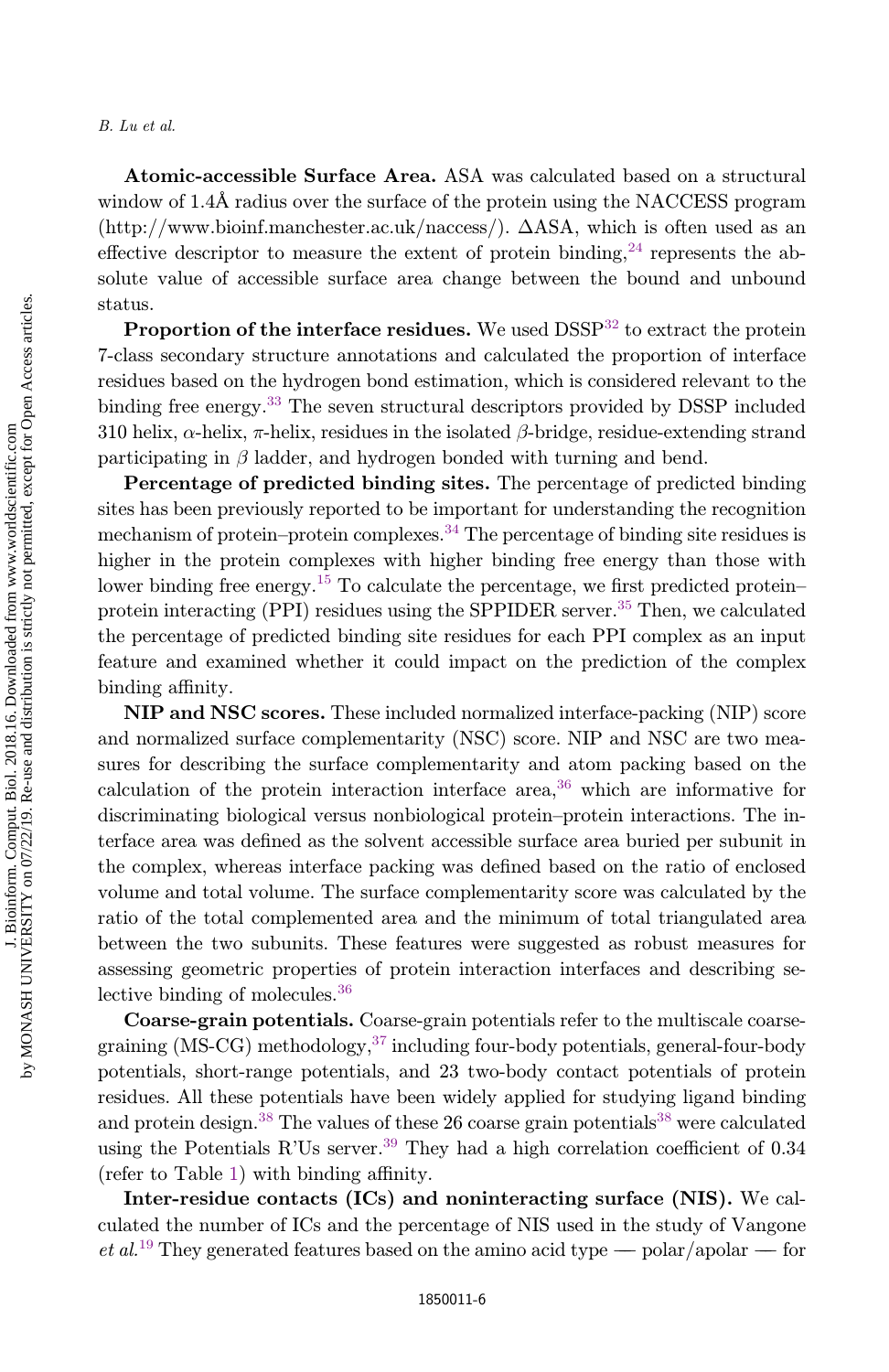Atomic-accessible Surface Area. ASA was calculated based on a structural window of 1.4Å radius over the surface of the protein using the NACCESS program  $(\text{http://www.bioinf.manchester.ac.uk/naccess/}). \DeltaASA, which is often used as an$ effective descriptor to measure the extent of protein binding,  $^{24}$  represents the absolute value of accessible surface area change between the bound and unbound status.

**Proportion of the interface residues.** We used  $DSSP<sup>32</sup>$  to extract the protein 7-class secondary structure annotations and calculated the proportion of interface residues based on the hydrogen bond estimation, which is considered relevant to the binding free energy.<sup>33</sup> The seven structural descriptors provided by DSSP included 310 helix,  $\alpha$ -helix,  $\pi$ -helix, residues in the isolated  $\beta$ -bridge, residue-extending strand participating in  $\beta$  ladder, and hydrogen bonded with turning and bend.

Percentage of predicted binding sites. The percentage of predicted binding sites has been previously reported to be important for understanding the recognition mechanism of protein–protein complexes.<sup>34</sup> The percentage of binding site residues is higher in the protein complexes with higher binding free energy than those with lower binding free energy.<sup>15</sup> To calculate the percentage, we first predicted protein– protein interacting (PPI) residues using the SPPIDER server.<sup>35</sup> Then, we calculated the percentage of predicted binding site residues for each PPI complex as an input feature and examined whether it could impact on the prediction of the complex binding affinity.

NIP and NSC scores. These included normalized interface-packing (NIP) score and normalized surface complementarity (NSC) score. NIP and NSC are two measures for describing the surface complementarity and atom packing based on the calculation of the protein interaction interface area,  $36\,$  which are informative for discriminating biological versus nonbiological protein–protein interactions. The interface area was defined as the solvent accessible surface area buried per subunit in the complex, whereas interface packing was defined based on the ratio of enclosed volume and total volume. The surface complementarity score was calculated by the ratio of the total complemented area and the minimum of total triangulated area between the two subunits. These features were suggested as robust measures for assessing geometric properties of protein interaction interfaces and describing selective binding of molecules.<sup>36</sup>

Coarse-grain potentials. Coarse-grain potentials refer to the multiscale coarsegraining (MS-CG) methodology,  $37$  including four-body potentials, general-four-body potentials, short-range potentials, and 23 two-body contact potentials of protein residues. All these potentials have been widely applied for studying ligand binding and protein design.<sup>38</sup> The values of these 26 coarse grain potentials<sup>38</sup> were calculated using the Potentials R'Us server.<sup>39</sup> They had a high correlation coefficient of  $0.34$ (refer to Table 1) with binding affinity.

Inter-residue contacts (ICs) and noninteracting surface (NIS). We calculated the number of ICs and the percentage of NIS used in the study of Vangone et al.<sup>19</sup> They generated features based on the amino acid type — polar/apolar — for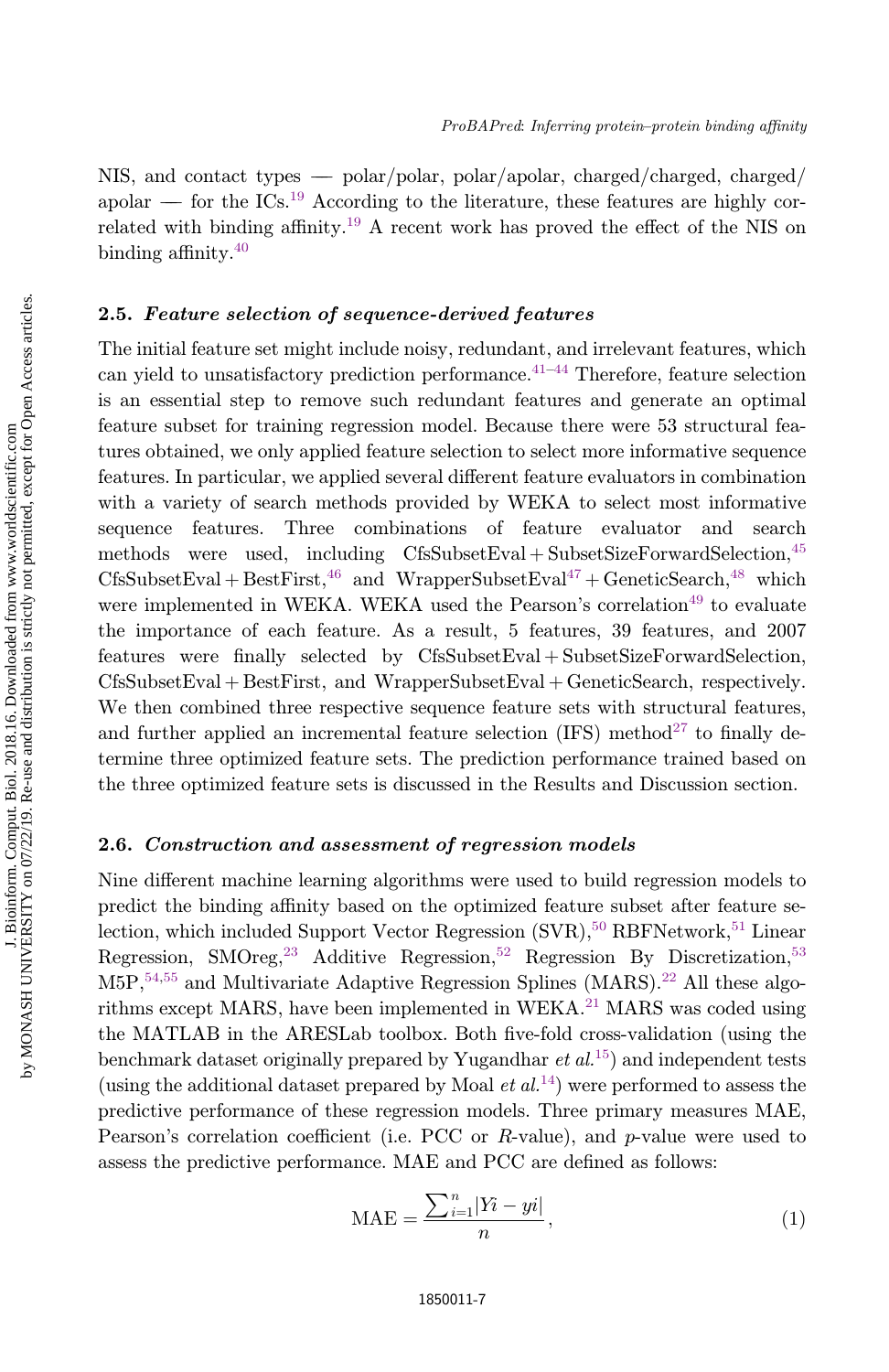NIS, and contact types  $-$  polar/polar, polar/apolar, charged/charged, charged/ apolar  $f{f}$  for the ICs.<sup>19</sup> According to the literature, these features are highly correlated with binding affinity.<sup>19</sup> A recent work has proved the effect of the NIS on binding affinity. $40$ 

## 2.5. Feature selection of sequence-derived features

The initial feature set might include noisy, redundant, and irrelevant features, which can yield to unsatisfactory prediction performance.<sup> $41-44$ </sup> Therefore, feature selection is an essential step to remove such redundant features and generate an optimal feature subset for training regression model. Because there were 53 structural features obtained, we only applied feature selection to select more informative sequence features. In particular, we applied several different feature evaluators in combination with a variety of search methods provided by WEKA to select most informative sequence features. Three combinations of feature evaluator and search methods were used, including  $CfsSubsetEval + SubsetSizeForwardSelection, <sup>45</sup>$  $CfsSubsetEval + BestFirst<sup>46</sup>$  and WrapperSubsetEval<sup>47</sup> + GeneticSearch,<sup>48</sup> which were implemented in WEKA. WEKA used the Pearson's correlation<sup>49</sup> to evaluate the importance of each feature. As a result, 5 features, 39 features, and 2007  $f$  features were finally selected by  $CfsSubsetEval + SubsetSizeForwardSelection$ ,  $CfsSubsetEval + BestFirst$ , and  $WrapperSubsetEval + GeneticSearch$ , respectively. We then combined three respective sequence feature sets with structural features, and further applied an incremental feature selection (IFS) method<sup>27</sup> to finally determine three optimized feature sets. The prediction performance trained based on the three optimized feature sets is discussed in the Results and Discussion section.

## 2.6. Construction and assessment of regression models

Nine different machine learning algorithms were used to build regression models to predict the binding affinity based on the optimized feature subset after feature selection, which included Support Vector Regression  $(SVR).<sup>50</sup> RBFNetwork.<sup>51</sup> Linear$ Regression, SMOreg,<sup>23</sup> Additive Regression,<sup>52</sup> Regression By Discretization,<sup>53</sup>  $M5P,$ <sup>54,55</sup> and Multivariate Adaptive Regression Splines (MARS).<sup>22</sup> All these algorithms except MARS, have been implemented in WEKA.<sup>21</sup> MARS was coded using the MATLAB in the ARESLab toolbox. Both five-fold cross-validation (using the benchmark dataset originally prepared by Yugandhar  $et al.<sup>15</sup>$  and independent tests (using the additional dataset prepared by Moal  $et al.<sup>14</sup>$ ) were performed to assess the predictive performance of these regression models. Three primary measures MAE, Pearson's correlation coefficient (i.e. PCC or R-value), and  $p$ -value were used to assess the predictive performance. MAE and PCC are defined as follows:

$$
\text{MAE} = \frac{\sum_{i=1}^{n} |Y_i - yi|}{n},\tag{1}
$$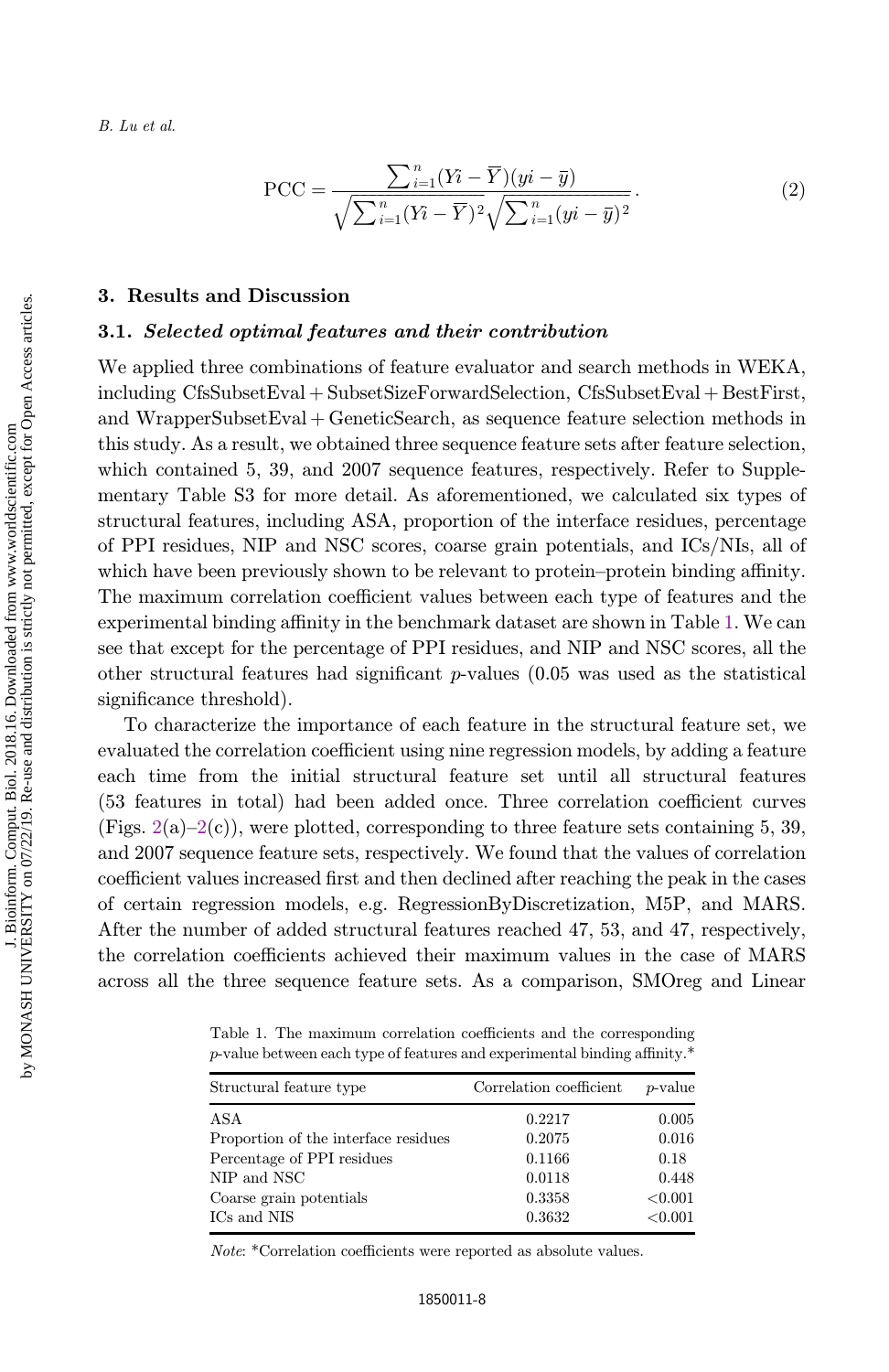$$
\text{PCC} = \frac{\sum_{i=1}^{n} (Y_i - \overline{Y})(yi - \overline{y})}{\sqrt{\sum_{i=1}^{n} (Y_i - \overline{Y})^2} \sqrt{\sum_{i=1}^{n} (yi - \overline{y})^2}}.
$$
(2)

#### 3. Results and Discussion

#### 3.1. Selected optimal features and their contribution

We applied three combinations of feature evaluator and search methods in WEKA, including  $CfsSubsetEval + SubsetSizeForwardSelection, CfsSubsetEval + BestFirst,$ and WrapperSubsetEval  $\uparrow$  GeneticSearch, as sequence feature selection methods in this study. As a result, we obtained three sequence feature sets after feature selection, which contained 5, 39, and 2007 sequence features, respectively. Refer to Supplementary Table S3 for more detail. As aforementioned, we calculated six types of structural features, including ASA, proportion of the interface residues, percentage of PPI residues, NIP and NSC scores, coarse grain potentials, and ICs/NIs, all of which have been previously shown to be relevant to protein–protein binding affinity. The maximum correlation coefficient values between each type of features and the experimental binding affinity in the benchmark dataset are shown in Table 1. We can see that except for the percentage of PPI residues, and NIP and NSC scores, all the other structural features had significant  $p$ -values (0.05 was used as the statistical significance threshold).

To characterize the importance of each feature in the structural feature set, we evaluated the correlation coefficient using nine regression models, by adding a feature each time from the initial structural feature set until all structural features (53 features in total) had been added once. Three correlation coefficient curves (Figs.  $2(a)-2(c)$ ), were plotted, corresponding to three feature sets containing 5, 39, and 2007 sequence feature sets, respectively. We found that the values of correlation coefficient values increased first and then declined after reaching the peak in the cases of certain regression models, e.g. RegressionByDiscretization, M5P, and MARS. After the number of added structural features reached 47, 53, and 47, respectively, the correlation coefficients achieved their maximum values in the case of MARS across all the three sequence feature sets. As a comparison, SMOreg and Linear

Table 1. The maximum correlation coefficients and the corresponding  $p$ -value between each type of features and experimental binding affinity.\*

| Structural feature type              | Correlation coefficient | $p$ -value |
|--------------------------------------|-------------------------|------------|
| ASA                                  | 0.2217                  | 0.005      |
| Proportion of the interface residues | 0.2075                  | 0.016      |
| Percentage of PPI residues           | 0.1166                  | 0.18       |
| NIP and NSC                          | 0.0118                  | 0.448      |
| Coarse grain potentials              | 0.3358                  | < 0.001    |
| ICs and NIS                          | 0.3632                  | < 0.001    |

Note: \*Correlation coefficients were reported as absolute values.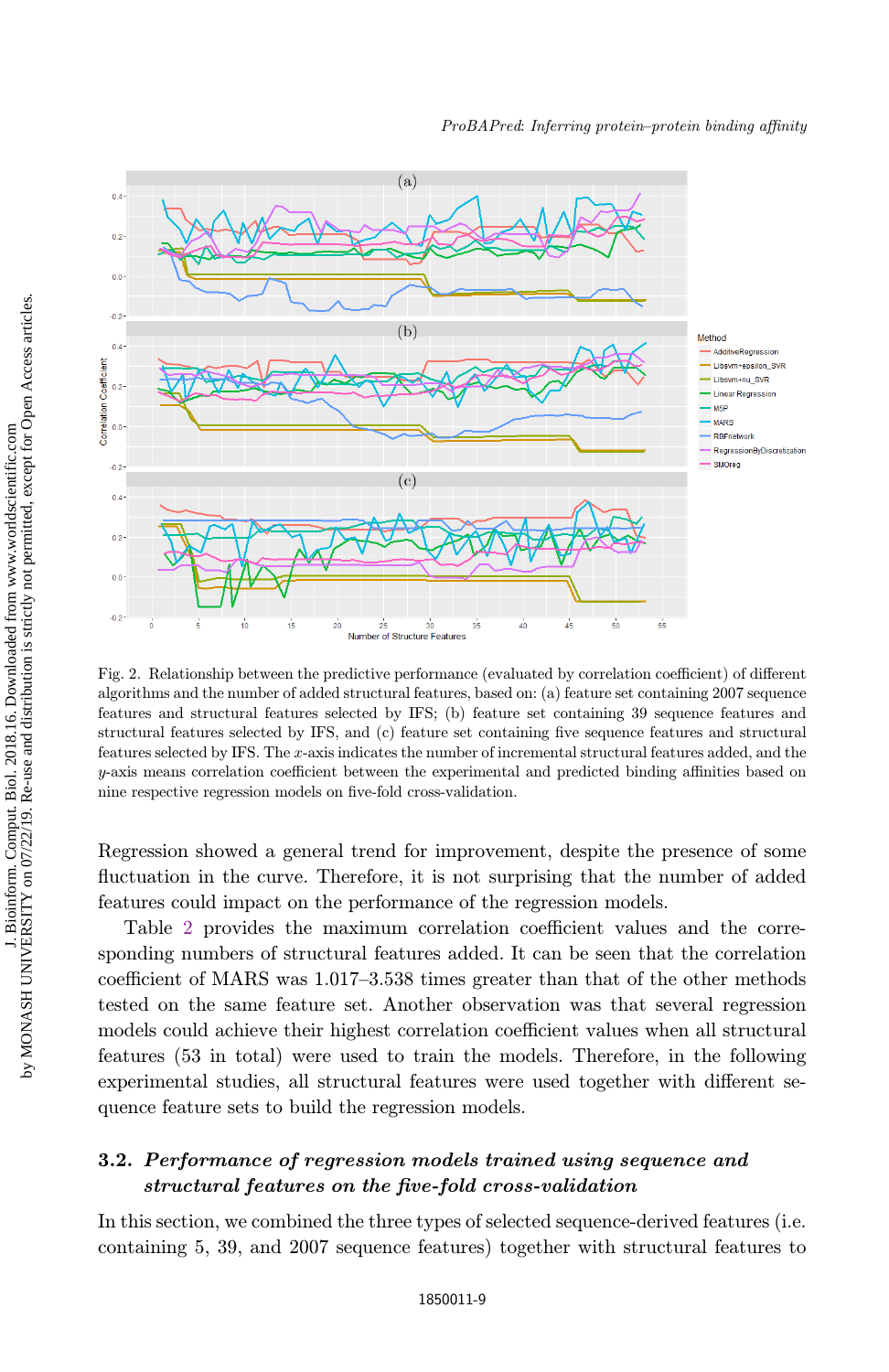

Fig. 2. Relationship between the predictive performance (evaluated by correlation coefficient) of different algorithms and the number of added structural features, based on: (a) feature set containing 2007 sequence features and structural features selected by IFS; (b) feature set containing 39 sequence features and structural features selected by IFS, and (c) feature set containing five sequence features and structural features selected by IFS. The x-axis indicates the number of incremental structural features added, and the  $y$ -axis means correlation coefficient between the experimental and predicted binding affinities based on nine respective regression models on five-fold cross-validation.

Regression showed a general trend for improvement, despite the presence of some fluctuation in the curve. Therefore, it is not surprising that the number of added features could impact on the performance of the regression models.

Table 2 provides the maximum correlation coefficient values and the corresponding numbers of structural features added. It can be seen that the correlation coefficient of MARS was 1.017–3.538 times greater than that of the other methods tested on the same feature set. Another observation was that several regression models could achieve their highest correlation coefficient values when all structural features (53 in total) were used to train the models. Therefore, in the following experimental studies, all structural features were used together with different sequence feature sets to build the regression models.

# 3.2. Performance of regression models trained using sequence and structural features on the five-fold cross-validation

In this section, we combined the three types of selected sequence-derived features (i.e. containing 5, 39, and 2007 sequence features) together with structural features to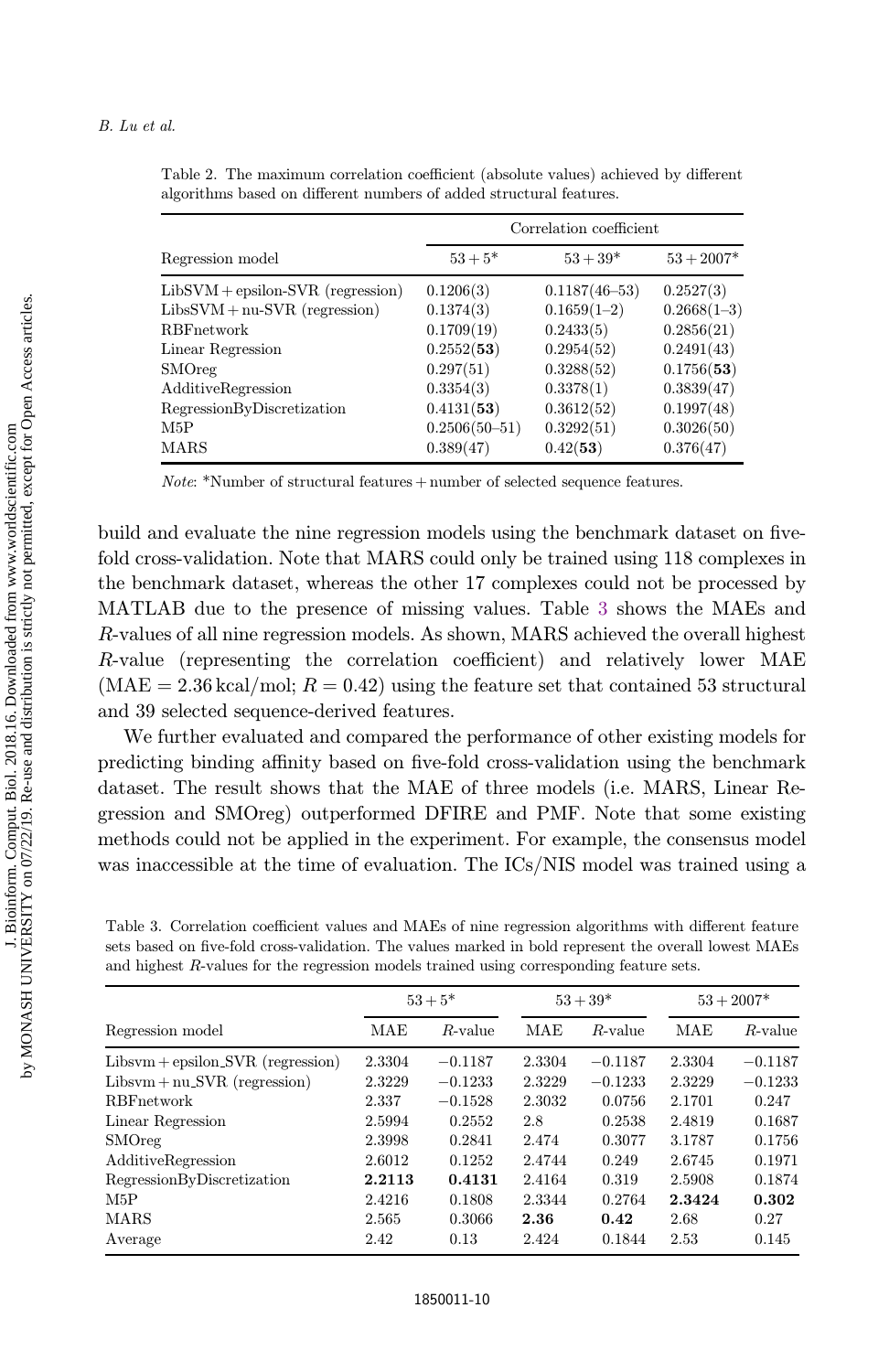|                                     | Correlation coefficient |                   |               |
|-------------------------------------|-------------------------|-------------------|---------------|
| Regression model                    | $53 + 5*$               | $53 + 39*$        | $53 + 2007*$  |
| $LibSVM + epsilon-SVR$ (regression) | 0.1206(3)               | $0.1187(46 - 53)$ | 0.2527(3)     |
| $LibsSWM + nu-SVR$ (regression)     | 0.1374(3)               | $0.1659(1-2)$     | $0.2668(1-3)$ |
| <b>RBF</b> network                  | 0.1709(19)              | 0.2433(5)         | 0.2856(21)    |
| Linear Regression                   | 0.2552(53)              | 0.2954(52)        | 0.2491(43)    |
| <b>SMOreg</b>                       | 0.297(51)               | 0.3288(52)        | 0.1756(53)    |
| AdditiveRegression                  | 0.3354(3)               | 0.3378(1)         | 0.3839(47)    |
| RegressionByDiscretization          | 0.4131(53)              | 0.3612(52)        | 0.1997(48)    |
| M5P                                 | $0.2506(50 - 51)$       | 0.3292(51)        | 0.3026(50)    |
| <b>MARS</b>                         | 0.389(47)               | 0.42(53)          | 0.376(47)     |

Table 2. The maximum correlation coefficient (absolute values) achieved by different algorithms based on different numbers of added structural features.

*Note*: \*Number of structural features  $+$  number of selected sequence features.

build and evaluate the nine regression models using the benchmark dataset on fivefold cross-validation. Note that MARS could only be trained using 118 complexes in the benchmark dataset, whereas the other 17 complexes could not be processed by MATLAB due to the presence of missing values. Table 3 shows the MAEs and R-values of all nine regression models. As shown, MARS achieved the overall highest  $R$ -value (representing the correlation coefficient) and relatively lower MAE  $(MAE = 2.36 \text{ kcal/mol}; R = 0.42)$  using the feature set that contained 53 structural and 39 selected sequence-derived features.

We further evaluated and compared the performance of other existing models for predicting binding affinity based on five-fold cross-validation using the benchmark dataset. The result shows that the MAE of three models (i.e. MARS, Linear Regression and SMOreg) outperformed DFIRE and PMF. Note that some existing methods could not be applied in the experiment. For example, the consensus model was inaccessible at the time of evaluation. The ICs/NIS model was trained using a

Table 3. Correlation coefficient values and MAEs of nine regression algorithms with different feature sets based on five-fold cross-validation. The values marked in bold represent the overall lowest MAEs and highest R-values for the regression models trained using corresponding feature sets.

| Regression model                      | $53 + 5*$ |            | $53 + 39*$ |            | $53 + 2007*$ |            |
|---------------------------------------|-----------|------------|------------|------------|--------------|------------|
|                                       | MAE       | $R$ -value | <b>MAE</b> | $R$ -value | <b>MAE</b>   | $R$ -value |
| $Libsum + epsilon$ $SVR$ (regression) | 2.3304    | $-0.1187$  | 2.3304     | $-0.1187$  | 2.3304       | $-0.1187$  |
| $Libsum + nu_SVR$ (regression)        | 2.3229    | $-0.1233$  | 2.3229     | $-0.1233$  | 2.3229       | $-0.1233$  |
| <b>RBF</b> network                    | 2.337     | $-0.1528$  | 2.3032     | 0.0756     | 2.1701       | 0.247      |
| Linear Regression                     | 2.5994    | 0.2552     | 2.8        | 0.2538     | 2.4819       | 0.1687     |
| <b>SMOreg</b>                         | 2.3998    | 0.2841     | 2.474      | 0.3077     | 3.1787       | 0.1756     |
| AdditiveRegression                    | 2.6012    | 0.1252     | 2.4744     | 0.249      | 2.6745       | 0.1971     |
| RegressionByDiscretization            | 2.2113    | 0.4131     | 2.4164     | 0.319      | 2.5908       | 0.1874     |
| M5P                                   | 2.4216    | 0.1808     | 2.3344     | 0.2764     | 2.3424       | 0.302      |
| <b>MARS</b>                           | 2.565     | 0.3066     | 2.36       | 0.42       | 2.68         | 0.27       |
| Average                               | 2.42      | 0.13       | 2.424      | 0.1844     | 2.53         | 0.145      |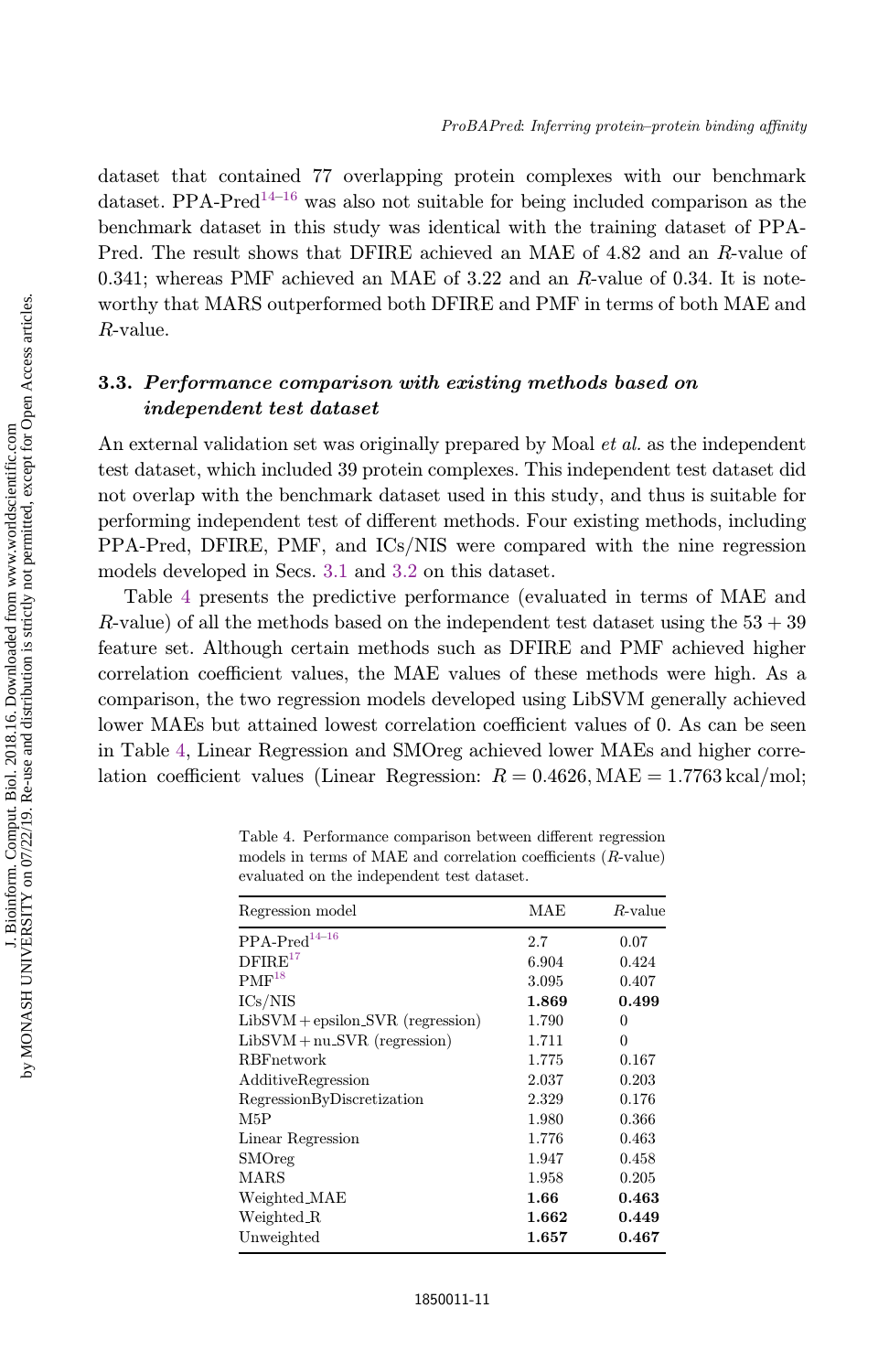dataset that contained 77 overlapping protein complexes with our benchmark dataset. PPA-Pred<sup>14–16</sup> was also not suitable for being included comparison as the benchmark dataset in this study was identical with the training dataset of PPA-Pred. The result shows that DFIRE achieved an MAE of 4.82 and an R-value of 0.341; whereas PMF achieved an MAE of 3.22 and an  $R$ -value of 0.34. It is noteworthy that MARS outperformed both DFIRE and PMF in terms of both MAE and R-value.

# 3.3. Performance comparison with existing methods based on independent test dataset

An external validation set was originally prepared by Moal *et al.* as the independent test dataset, which included 39 protein complexes. This independent test dataset did not overlap with the benchmark dataset used in this study, and thus is suitable for performing independent test of different methods. Four existing methods, including PPA-Pred, DFIRE, PMF, and ICs/NIS were compared with the nine regression models developed in Secs. 3.1 and 3.2 on this dataset.

Table 4 presents the predictive performance (evaluated in terms of MAE and R-value) of all the methods based on the independent test dataset using the  $53 + 39$ feature set. Although certain methods such as DFIRE and PMF achieved higher correlation coefficient values, the MAE values of these methods were high. As a comparison, the two regression models developed using LibSVM generally achieved lower MAEs but attained lowest correlation coefficient values of 0. As can be seen in Table 4, Linear Regression and SMOreg achieved lower MAEs and higher correlation coefficient values (Linear Regression:  $R = 0.4626$ , MAE = 1.7763 kcal/mol;

| Regression model                    | MAE       | $R$ -value  |
|-------------------------------------|-----------|-------------|
| $PPA-Pred^{14-16}$                  | 2.7       | 0.07        |
| DFIRE <sup>17</sup>                 | 6.904     | 0.424       |
| $PMF^{18}$                          | 3.095     | 0.407       |
| ICs/NIS                             | 1.869     | 0.499       |
| $LibSVM + epsilon SNR$ (regression) | 1.790     | 0           |
| $LibSVM + nu_SVR$ (regression)      | 1.711     | $\Omega$    |
| <b>RBF</b> network                  | 1.775     | 0.167       |
| AdditiveRegression                  | 2.037     | 0.203       |
| RegressionByDiscretization          | 2.329     | 0.176       |
| M5P                                 | 1.980     | 0.366       |
| Linear Regression                   | 1.776     | 0.463       |
| SMOreg                              | 1.947     | 0.458       |
| <b>MARS</b>                         | 1.958     | 0.205       |
| Weighted MAE                        | 1.66      | 0.463       |
| Weighted R                          | 1.662     | 0.449       |
| Unweighted                          | $1.657\,$ | $\,0.467\,$ |

Table 4. Performance comparison between different regression models in terms of MAE and correlation coefficients  $(R$ -value) evaluated on the independent test dataset.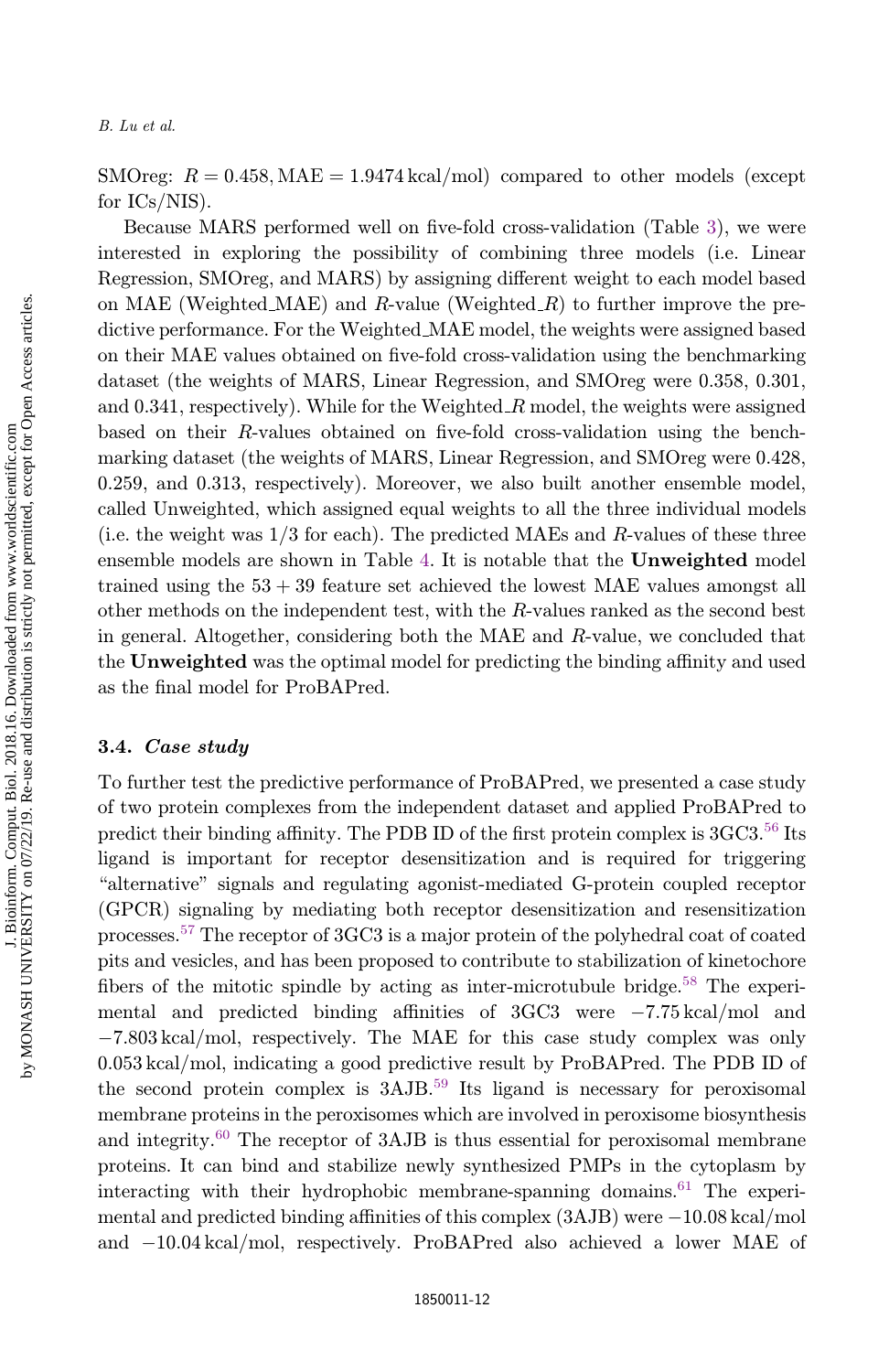SMOreg:  $R = 0.458$ , MAE = 1.9474 kcal/mol) compared to other models (except for ICs/NIS).

Because MARS performed well on five-fold cross-validation (Table 3), we were interested in exploring the possibility of combining three models (i.e. Linear Regression, SMOreg, and MARS) by assigning different weight to each model based on MAE (Weighted MAE) and R-value (Weighted  $R$ ) to further improve the predictive performance. For the Weighted MAE model, the weights were assigned based on their MAE values obtained on five-fold cross-validation using the benchmarking dataset (the weights of MARS, Linear Regression, and SMOreg were 0.358, 0.301, and  $0.341$ , respectively). While for the Weighted  $R$  model, the weights were assigned based on their  $R$ -values obtained on five-fold cross-validation using the benchmarking dataset (the weights of MARS, Linear Regression, and SMOreg were 0.428, 0.259, and 0.313, respectively). Moreover, we also built another ensemble model, called Unweighted, which assigned equal weights to all the three individual models (i.e. the weight was  $1/3$  for each). The predicted MAEs and R-values of these three ensemble models are shown in Table 4. It is notable that the Unweighted model trained using the  $53 + 39$  feature set achieved the lowest MAE values amongst all other methods on the independent test, with the  $R$ -values ranked as the second best in general. Altogether, considering both the MAE and R-value, we concluded that the Unweighted was the optimal model for predicting the binding affinity and used as the final model for ProBAPred.

## 3.4. Case study

To further test the predictive performance of ProBAPred, we presented a case study of two protein complexes from the independent dataset and applied ProBAPred to predict their binding affinity. The PDB ID of the first protein complex is  $3GC3.56$  Its ligand is important for receptor desensitization and is required for triggering "alternative" signals and regulating agonist-mediated G-protein coupled receptor (GPCR) signaling by mediating both receptor desensitization and resensitization processes.<sup>57</sup> The receptor of 3GC3 is a major protein of the polyhedral coat of coated pits and vesicles, and has been proposed to contribute to stabilization of kinetochore fibers of the mitotic spindle by acting as inter-microtubule bridge. $58$  The experimental and predicted binding affinities of  $3GC3$  were  $-7.75$  kcal/mol and 7.803 kcal/mol, respectively. The MAE for this case study complex was only 0.053 kcal/mol, indicating a good predictive result by ProBAPred. The PDB ID of the second protein complex is  $3AJB$ .<sup>59</sup> Its ligand is necessary for peroxisomal membrane proteins in the peroxisomes which are involved in peroxisome biosynthesis and integrity.<sup>60</sup> The receptor of 3AJB is thus essential for peroxisomal membrane proteins. It can bind and stabilize newly synthesized PMPs in the cytoplasm by interacting with their hydrophobic membrane-spanning domains.<sup>61</sup> The experimental and predicted binding affinities of this complex  $(3AJB)$  were  $-10.08$  kcal/mol and 10.04 kcal/mol, respectively. ProBAPred also achieved a lower MAE of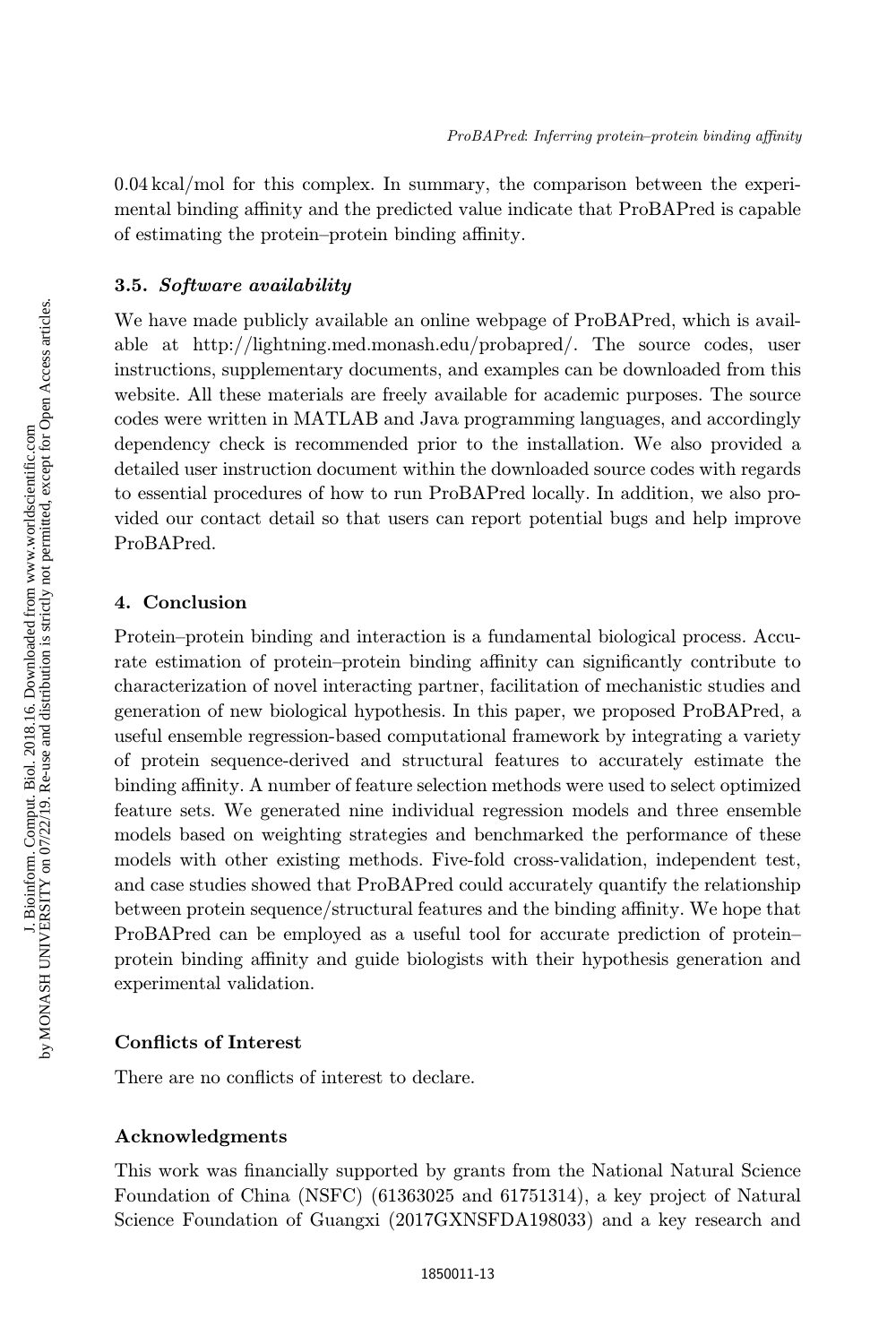0.04 kcal/mol for this complex. In summary, the comparison between the experimental binding affinity and the predicted value indicate that ProBAPred is capable of estimating the protein–protein binding affinity.

## 3.5. Software availability

We have made publicly available an online webpage of ProBAPred, which is available at http://lightning.med.monash.edu/probapred/. The source codes, user instructions, supplementary documents, and examples can be downloaded from this website. All these materials are freely available for academic purposes. The source codes were written in MATLAB and Java programming languages, and accordingly dependency check is recommended prior to the installation. We also provided a detailed user instruction document within the downloaded source codes with regards to essential procedures of how to run ProBAPred locally. In addition, we also provided our contact detail so that users can report potential bugs and help improve ProBAPred.

## 4. Conclusion

Protein–protein binding and interaction is a fundamental biological process. Accurate estimation of protein–protein binding affinity can significantly contribute to characterization of novel interacting partner, facilitation of mechanistic studies and generation of new biological hypothesis. In this paper, we proposed ProBAPred, a useful ensemble regression-based computational framework by integrating a variety of protein sequence-derived and structural features to accurately estimate the binding affinity. A number of feature selection methods were used to select optimized feature sets. We generated nine individual regression models and three ensemble models based on weighting strategies and benchmarked the performance of these models with other existing methods. Five-fold cross-validation, independent test, and case studies showed that ProBAPred could accurately quantify the relationship between protein sequence/structural features and the binding affinity. We hope that ProBAPred can be employed as a useful tool for accurate prediction of protein– protein binding affinity and guide biologists with their hypothesis generation and experimental validation.

## Conflicts of Interest

There are no conflicts of interest to declare.

### Acknowledgments

This work was financially supported by grants from the National Natural Science Foundation of China (NSFC) (61363025 and 61751314), a key project of Natural Science Foundation of Guangxi (2017GXNSFDA198033) and a key research and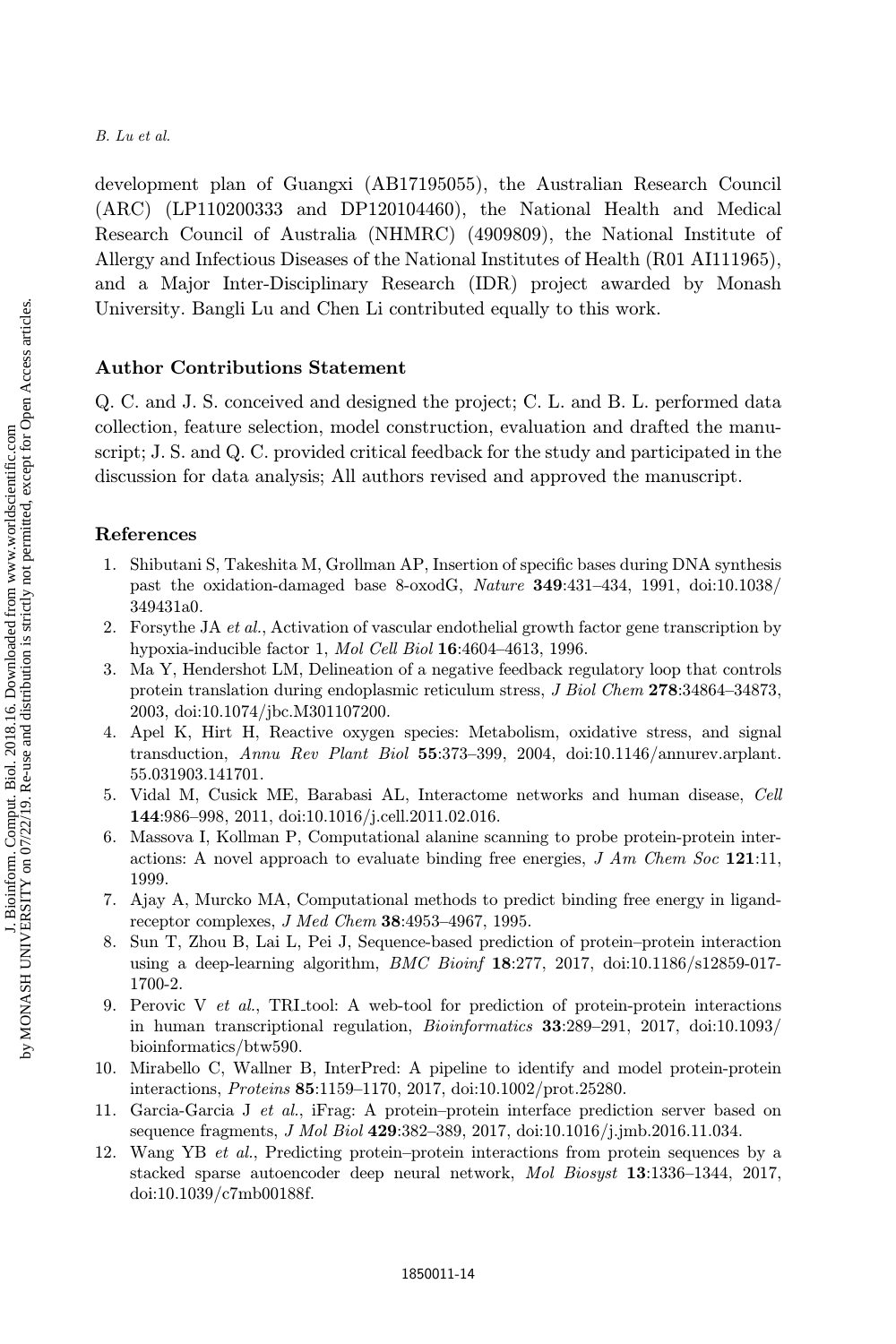development plan of Guangxi (AB17195055), the Australian Research Council (ARC) (LP110200333 and DP120104460), the National Health and Medical Research Council of Australia (NHMRC) (4909809), the National Institute of Allergy and Infectious Diseases of the National Institutes of Health (R01 AI111965), and a Major Inter-Disciplinary Research (IDR) project awarded by Monash University. Bangli Lu and Chen Li contributed equally to this work.

## Author Contributions Statement

Q. C. and J. S. conceived and designed the project; C. L. and B. L. performed data collection, feature selection, model construction, evaluation and drafted the manuscript; J. S. and Q. C. provided critical feedback for the study and participated in the discussion for data analysis; All authors revised and approved the manuscript.

## References

- 1. Shibutani S, Takeshita M, Grollman AP, Insertion of specific bases during DNA synthesis past the oxidation-damaged base 8-oxodG, Nature 349:431–434, 1991, doi:10.1038/ 349431a0.
- 2. Forsythe JA et al., Activation of vascular endothelial growth factor gene transcription by hypoxia-inducible factor 1, Mol Cell Biol 16:4604–4613, 1996.
- 3. Ma Y, Hendershot LM, Delineation of a negative feedback regulatory loop that controls protein translation during endoplasmic reticulum stress, J Biol Chem 278:34864–34873, 2003, doi:10.1074/jbc.M301107200.
- 4. Apel K, Hirt H, Reactive oxygen species: Metabolism, oxidative stress, and signal transduction, Annu Rev Plant Biol 55:373–399, 2004, doi:10.1146/annurev.arplant. 55.031903.141701.
- 5. Vidal M, Cusick ME, Barabasi AL, Interactome networks and human disease, Cell 144:986–998, 2011, doi:10.1016/j.cell.2011.02.016.
- 6. Massova I, Kollman P, Computational alanine scanning to probe protein-protein interactions: A novel approach to evaluate binding free energies,  $J Am Chem Soc 121:11$ , 1999.
- 7. Ajay A, Murcko MA, Computational methods to predict binding free energy in ligandreceptor complexes, J Med Chem 38:4953–4967, 1995.
- 8. Sun T, Zhou B, Lai L, Pei J, Sequence-based prediction of protein–protein interaction using a deep-learning algorithm, *BMC Bioinf* 18:277, 2017, doi:10.1186/s12859-017-1700-2.
- 9. Perovic V et al., TRI tool: A web-tool for prediction of protein-protein interactions in human transcriptional regulation, Bioinformatics 33:289–291, 2017, doi:10.1093/ bioinformatics/btw590.
- 10. Mirabello C, Wallner B, InterPred: A pipeline to identify and model protein-protein interactions, Proteins 85:1159–1170, 2017, doi:10.1002/prot.25280.
- 11. Garcia-Garcia J et al., iFrag: A protein–protein interface prediction server based on sequence fragments, *J Mol Biol* 429:382-389, 2017, doi:10.1016/j.jmb.2016.11.034.
- 12. Wang YB et al., Predicting protein–protein interactions from protein sequences by a stacked sparse autoencoder deep neural network, Mol Biosyst 13:1336–1344, 2017, doi:10.1039/c7mb00188f.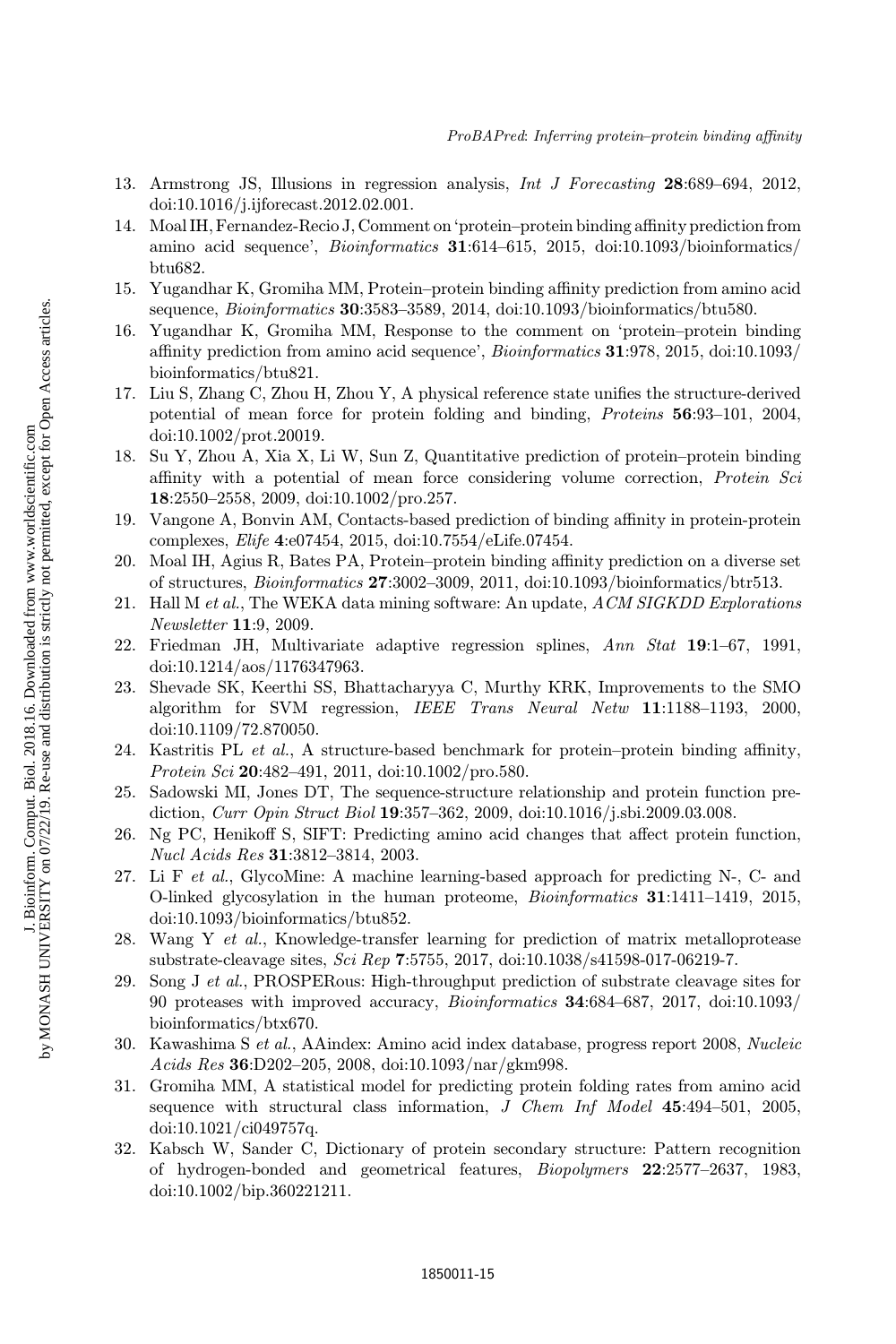- 13. Armstrong JS, Illusions in regression analysis, Int J Forecasting 28:689–694, 2012, doi:10.1016/j.ijforecast.2012.02.001.
- 14. Moal IH, Fernandez-Recio J, Comment on 'protein–protein binding affinity prediction from amino acid sequence', *Bioinformatics* **31**:614–615, 2015, doi:10.1093/bioinformatics/ btu682.
- 15. Yugandhar K, Gromiha MM, Protein–protein binding affinity prediction from amino acid sequence, Bioinformatics 30:3583–3589, 2014, doi:10.1093/bioinformatics/btu580.
- 16. Yugandhar K, Gromiha MM, Response to the comment on `protein–protein binding affinity prediction from amino acid sequence',  $Bioinformatics$  31:978, 2015, doi:10.1093/ bioinformatics/btu821.
- 17. Liu S, Zhang C, Zhou H, Zhou Y, A physical reference state unifies the structure-derived potential of mean force for protein folding and binding, Proteins 56:93–101, 2004, doi:10.1002/prot.20019.
- 18. Su Y, Zhou A, Xia X, Li W, Sun Z, Quantitative prediction of protein–protein binding affinity with a potential of mean force considering volume correction, *Protein Sci* 18:2550–2558, 2009, doi:10.1002/pro.257.
- 19. Vangone A, Bonvin AM, Contacts-based prediction of binding affinity in protein-protein complexes, Elife 4:e07454, 2015, doi:10.7554/eLife.07454.
- 20. Moal IH, Agius R, Bates PA, Protein–protein binding affinity prediction on a diverse set of structures, Bioinformatics 27:3002–3009, 2011, doi:10.1093/bioinformatics/btr513.
- 21. Hall M et al., The WEKA data mining software: An update, ACM SIGKDD Explorations Newsletter 11:9, 2009.
- 22. Friedman JH, Multivariate adaptive regression splines, Ann Stat 19:1–67, 1991, doi:10.1214/aos/1176347963.
- 23. Shevade SK, Keerthi SS, Bhattacharyya C, Murthy KRK, Improvements to the SMO algorithm for SVM regression, IEEE Trans Neural Netw 11:1188–1193, 2000, doi:10.1109/72.870050.
- 24. Kastritis PL  $et al., A structure-based benchmark for protein–protein binding affinity,$ Protein Sci 20:482-491, 2011, doi:10.1002/pro.580.
- 25. Sadowski MI, Jones DT, The sequence-structure relationship and protein function prediction, Curr Opin Struct Biol 19:357-362, 2009, doi:10.1016/j.sbi.2009.03.008.
- 26. Ng PC, Henikoff S, SIFT: Predicting amino acid changes that affect protein function, Nucl Acids Res 31:3812–3814, 2003.
- 27. Li F et al., GlycoMine: A machine learning-based approach for predicting N-, C- and O-linked glycosylation in the human proteome, Bioinformatics 31:1411–1419, 2015, doi:10.1093/bioinformatics/btu852.
- 28. Wang Y et al., Knowledge-transfer learning for prediction of matrix metalloprotease substrate-cleavage sites, Sci Rep 7:5755, 2017, doi:10.1038/s41598-017-06219-7.
- 29. Song J et al., PROSPERous: High-throughput prediction of substrate cleavage sites for 90 proteases with improved accuracy, Bioinformatics 34:684–687, 2017, doi:10.1093/ bioinformatics/btx670.
- 30. Kawashima S et al., AAindex: Amino acid index database, progress report 2008, Nucleic  $Acids Res$  36:D202-205, 2008, doi:10.1093/nar/gkm998.
- 31. Gromiha MM, A statistical model for predicting protein folding rates from amino acid sequence with structural class information, J Chem Inf Model 45:494–501, 2005, doi:10.1021/ci049757q.
- 32. Kabsch W, Sander C, Dictionary of protein secondary structure: Pattern recognition of hydrogen-bonded and geometrical features, Biopolymers 22:2577–2637, 1983, doi:10.1002/bip.360221211.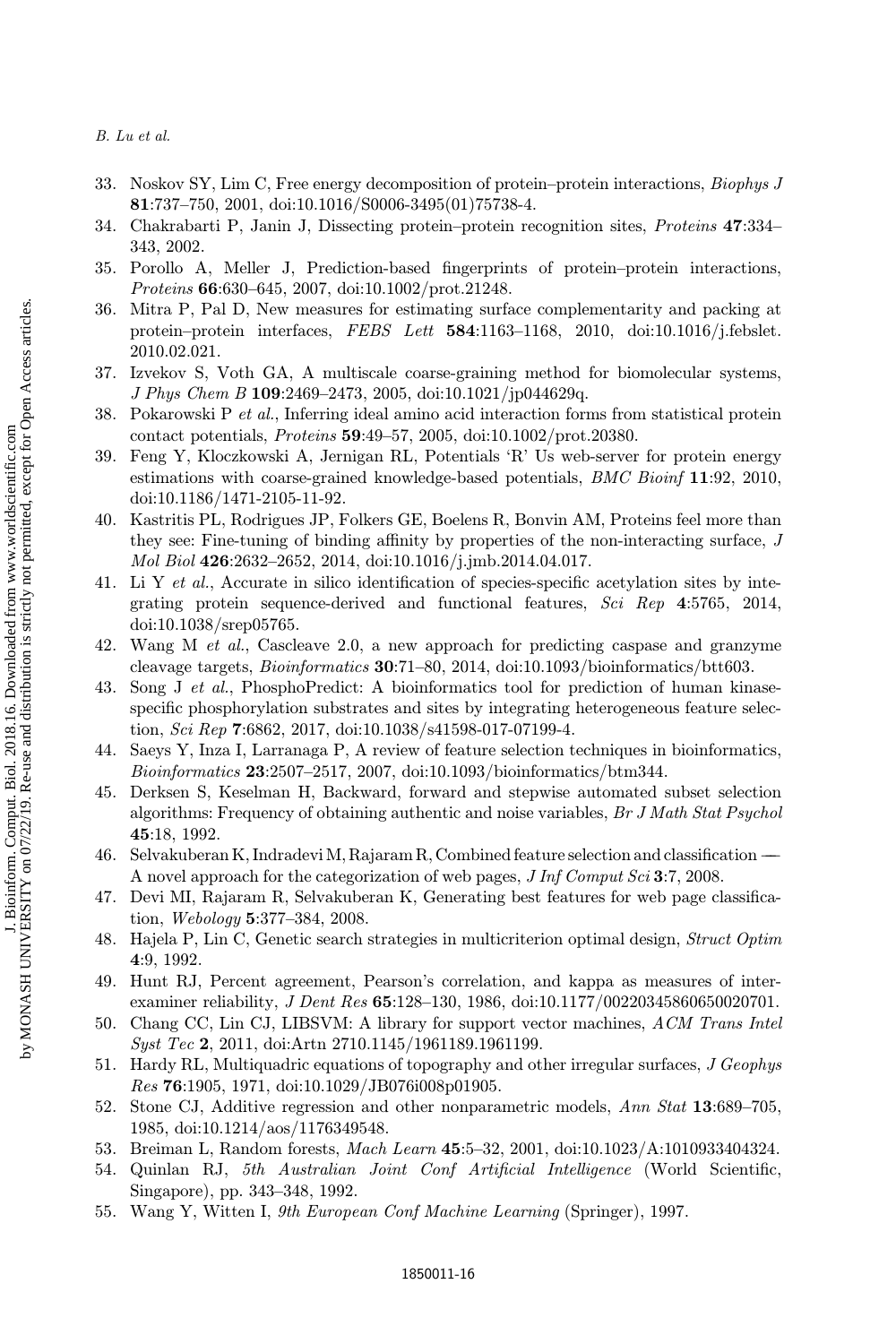- 33. Noskov SY, Lim C, Free energy decomposition of protein–protein interactions, Biophys J 81:737–750, 2001, doi:10.1016/S0006-3495(01)75738-4.
- 34. Chakrabarti P, Janin J, Dissecting protein–protein recognition sites, Proteins 47:334– 343, 2002.
- 35. Porollo A, Meller J, Prediction-based fingerprints of protein–protein interactions, Proteins 66:630–645, 2007, doi:10.1002/prot.21248.
- 36. Mitra P, Pal D, New measures for estimating surface complementarity and packing at protein–protein interfaces, FEBS Lett  $584:1163-1168$ , 2010, doi:10.1016/j.febslet. 2010.02.021.
- 37. Izvekov S, Voth GA, A multiscale coarse-graining method for biomolecular systems, J Phys Chem B 109:2469–2473, 2005, doi:10.1021/jp044629q.
- 38. Pokarowski P et al., Inferring ideal amino acid interaction forms from statistical protein contact potentials, Proteins 59:49–57, 2005, doi:10.1002/prot.20380.
- 39. Feng Y, Kloczkowski A, Jernigan RL, Potentials `R' Us web-server for protein energy estimations with coarse-grained knowledge-based potentials, BMC Bioinf 11:92, 2010, doi:10.1186/1471-2105-11-92.
- 40. Kastritis PL, Rodrigues JP, Folkers GE, Boelens R, Bonvin AM, Proteins feel more than they see: Fine-tuning of binding affinity by properties of the non-interacting surface,  $J$ Mol Biol 426:2632–2652, 2014, doi:10.1016/j.jmb.2014.04.017.
- 41. Li Y et al., Accurate in silico identification of species-specific acetylation sites by integrating protein sequence-derived and functional features, Sci Rep 4:5765, 2014, doi:10.1038/srep05765.
- 42. Wang M et al., Cascleave 2.0, a new approach for predicting caspase and granzyme cleavage targets, Bioinformatics 30:71–80, 2014, doi:10.1093/bioinformatics/btt603.
- 43. Song J et al., PhosphoPredict: A bioinformatics tool for prediction of human kinasespecific phosphorylation substrates and sites by integrating heterogeneous feature selection, Sci Rep 7:6862, 2017, doi:10.1038/s41598-017-07199-4.
- 44. Saeys Y, Inza I, Larranaga P, A review of feature selection techniques in bioinformatics, Bioinformatics 23:2507–2517, 2007, doi:10.1093/bioinformatics/btm344.
- 45. Derksen S, Keselman H, Backward, forward and stepwise automated subset selection algorithms: Frequency of obtaining authentic and noise variables, Br J Math Stat Psychol 45:18, 1992.
- $46.$  Selvakuberan K, Indradevi M, Rajaram R, Combined feature selection and classification  $-$ A novel approach for the categorization of web pages, J Inf Comput Sci 3:7, 2008.
- 47. Devi MI, Rajaram R, Selvakuberan K, Generating best features for web page classification, Webology 5:377–384, 2008.
- 48. Hajela P, Lin C, Genetic search strategies in multicriterion optimal design, *Struct Optim* 4:9, 1992.
- 49. Hunt RJ, Percent agreement, Pearson's correlation, and kappa as measures of interexaminer reliability, J Dent Res 65:128-130, 1986, doi:10.1177/00220345860650020701.
- 50. Chang CC, Lin CJ, LIBSVM: A library for support vector machines, ACM Trans Intel Syst Tec 2, 2011, doi:Artn 2710.1145/1961189.1961199.
- 51. Hardy RL, Multiquadric equations of topography and other irregular surfaces, J Geophys Res 76:1905, 1971, doi:10.1029/JB076i008p01905.
- 52. Stone CJ, Additive regression and other nonparametric models, Ann Stat 13:689–705, 1985, doi:10.1214/aos/1176349548.
- 53. Breiman L, Random forests, Mach Learn 45:5–32, 2001, doi:10.1023/A:1010933404324.
- 54. Quinlan RJ, 5th Australian Joint Conf Artificial Intelligence (World Scientific, Singapore), pp. 343–348, 1992.
- 55. Wang Y, Witten I, 9th European Conf Machine Learning (Springer), 1997.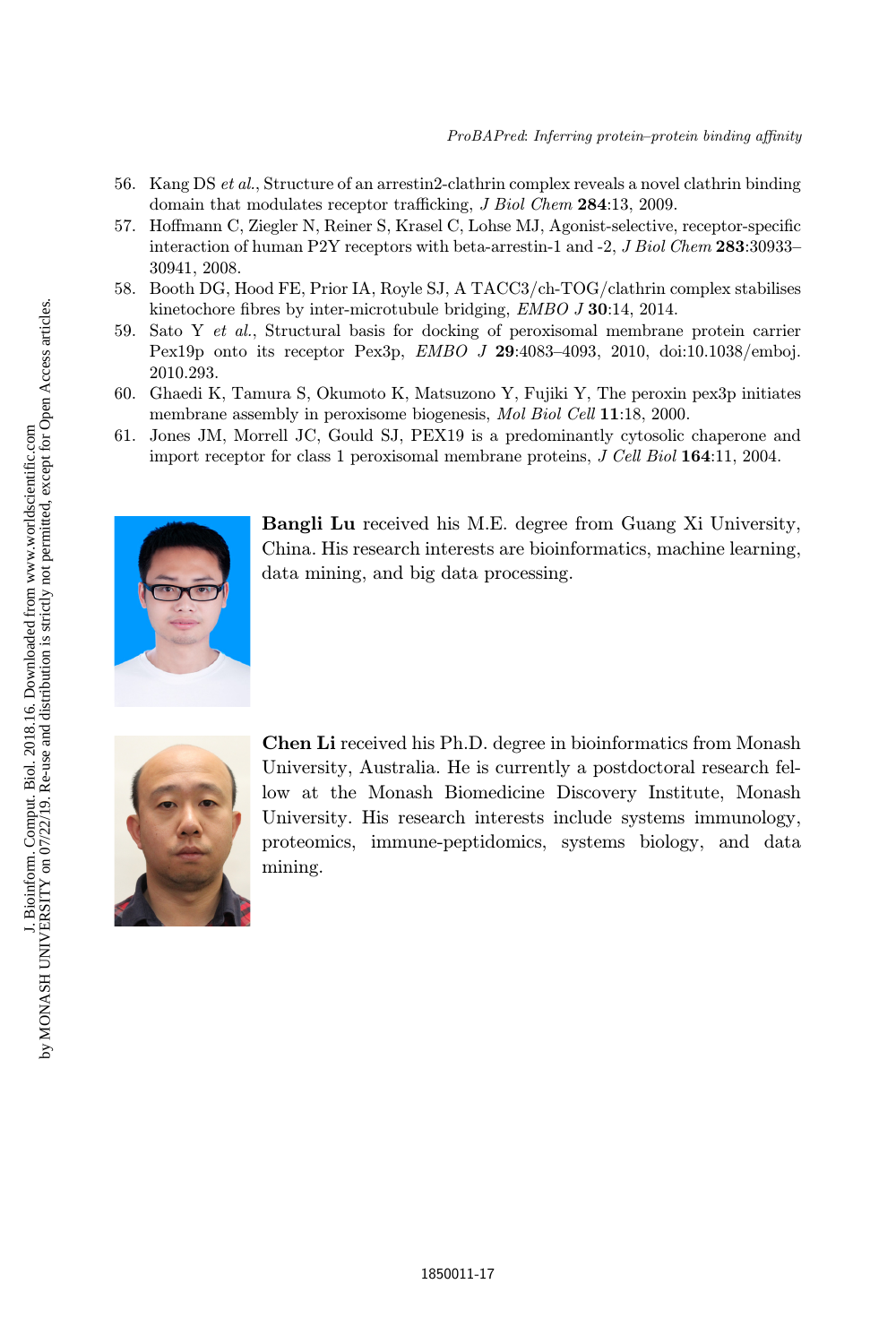- 56. Kang DS et al., Structure of an arrestin2-clathrin complex reveals a novel clathrin binding domain that modulates receptor trafficking, J Biol Chem 284:13, 2009.
- 57. Hoffmann C, Ziegler N, Reiner S, Krasel C, Lohse MJ, Agonist-selective, receptor-specific interaction of human P2Y receptors with beta-arrestin-1 and -2, *J Biol Chem* 283:30933-30941, 2008.
- 58. Booth DG, Hood FE, Prior IA, Royle SJ, A TACC3/ch-TOG/clathrin complex stabilises kinetochore fibres by inter-microtubule bridging,  $EMBO J 30:14$ , 2014.
- 59. Sato Y et al., Structural basis for docking of peroxisomal membrane protein carrier Pex19p onto its receptor Pex3p, EMBO J 29:4083–4093, 2010, doi:10.1038/emboj. 2010.293.
- 60. Ghaedi K, Tamura S, Okumoto K, Matsuzono Y, Fujiki Y, The peroxin pex3p initiates membrane assembly in peroxisome biogenesis, Mol Biol Cell 11:18, 2000.
- 61. Jones JM, Morrell JC, Gould SJ, PEX19 is a predominantly cytosolic chaperone and import receptor for class 1 peroxisomal membrane proteins, J Cell Biol 164:11, 2004.



Bangli Lu received his M.E. degree from Guang Xi University, China. His research interests are bioinformatics, machine learning, data mining, and big data processing.



Chen Li received his Ph.D. degree in bioinformatics from Monash University, Australia. He is currently a postdoctoral research fellow at the Monash Biomedicine Discovery Institute, Monash University. His research interests include systems immunology, proteomics, immune-peptidomics, systems biology, and data mining.